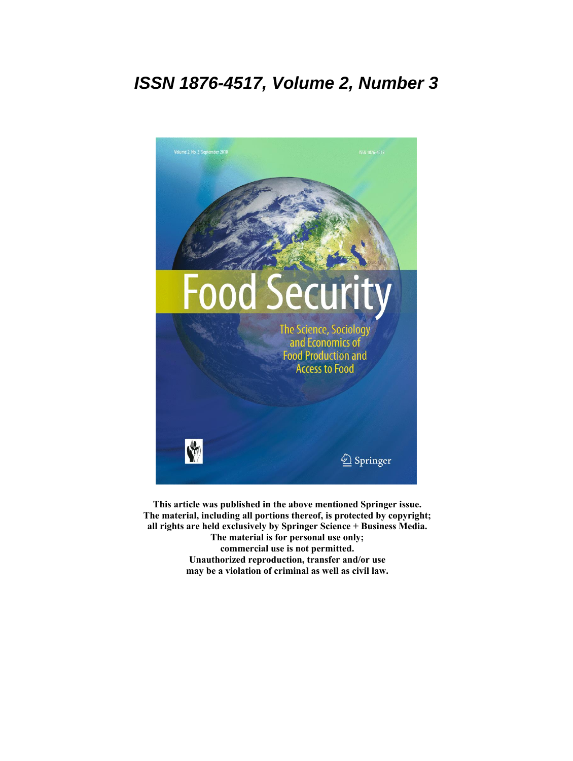# **ISSN 1876-4517, Volume 2, Number 3**



**This article was published in the above mentioned Springer issue. The material, including all portions thereof, is protected by copyright; all rights are held exclusively by Springer Science + Business Media. The material is for personal use only; commercial use is not permitted. Unauthorized reproduction, transfer and/or use**

**may be a violation of criminal as well as civil law.**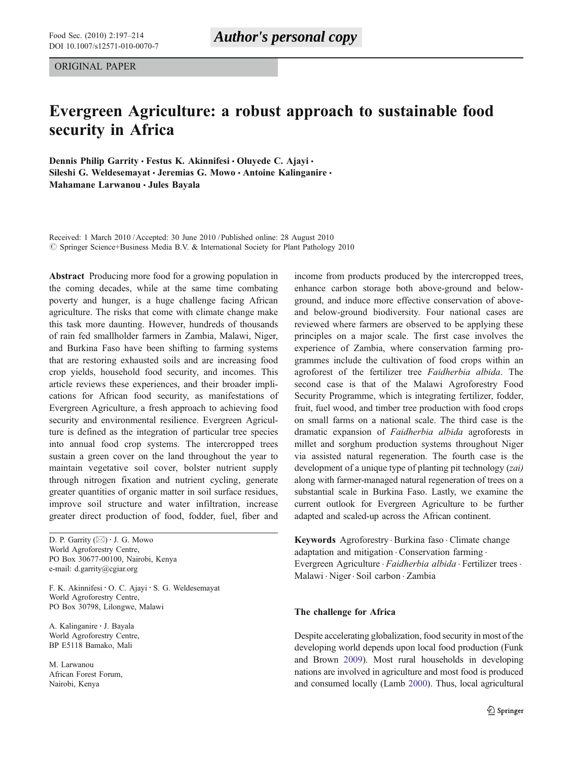Food Sec. (2010) 2:197–214<br>DOI 10.1007/s12571-010-0070-7*Author's personal copy* 

ORIGINAL PAPER

## Evergreen Agriculture: a robust approach to sustainable food security in Africa

Dennis Philip Garrity · Festus K. Akinnifesi · Oluyede C. Ajayi · Sileshi G. Weldesemayat · Jeremias G. Mowo · Antoine Kalinganire · Mahamane Larwanou & Jules Bayala

Received: 1 March 2010 /Accepted: 30 June 2010 / Published online: 28 August 2010 © Springer Science+Business Media B.V. & International Society for Plant Pathology 2010

Abstract Producing more food for a growing population in the coming decades, while at the same time combating poverty and hunger, is a huge challenge facing African agriculture. The risks that come with climate change make this task more daunting. However, hundreds of thousands of rain fed smallholder farmers in Zambia, Malawi, Niger, and Burkina Faso have been shifting to farming systems that are restoring exhausted soils and are increasing food crop yields, household food security, and incomes. This article reviews these experiences, and their broader implications for African food security, as manifestations of Evergreen Agriculture, a fresh approach to achieving food security and environmental resilience. Evergreen Agriculture is defined as the integration of particular tree species into annual food crop systems. The intercropped trees sustain a green cover on the land throughout the year to maintain vegetative soil cover, bolster nutrient supply through nitrogen fixation and nutrient cycling, generate greater quantities of organic matter in soil surface residues, improve soil structure and water infiltration, increase greater direct production of food, fodder, fuel, fiber and

D. P. Garrity  $(\boxtimes) \cdot$  J. G. Mowo World Agroforestry Centre, PO Box 30677-00100, Nairobi, Kenya e-mail: d.garrity@cgiar.org

F. K. Akinnifesi : O. C. Ajayi : S. G. Weldesemayat World Agroforestry Centre, PO Box 30798, Lilongwe, Malawi

A. Kalinganire : J. Bayala World Agroforestry Centre, BP E5118 Bamako, Mali

M. Larwanou African Forest Forum, Nairobi, Kenya

income from products produced by the intercropped trees, enhance carbon storage both above-ground and belowground, and induce more effective conservation of aboveand below-ground biodiversity. Four national cases are reviewed where farmers are observed to be applying these principles on a major scale. The first case involves the experience of Zambia, where conservation farming programmes include the cultivation of food crops within an agroforest of the fertilizer tree Faidherbia albida. The second case is that of the Malawi Agroforestry Food Security Programme, which is integrating fertilizer, fodder, fruit, fuel wood, and timber tree production with food crops on small farms on a national scale. The third case is the dramatic expansion of Faidherbia albida agroforests in millet and sorghum production systems throughout Niger via assisted natural regeneration. The fourth case is the development of a unique type of planting pit technology (zai) along with farmer-managed natural regeneration of trees on a substantial scale in Burkina Faso. Lastly, we examine the current outlook for Evergreen Agriculture to be further adapted and scaled-up across the African continent.

Keywords Agroforestry . Burkina faso . Climate change adaptation and mitigation . Conservation farming . Evergreen Agriculture . Faidherbia albida . Fertilizer trees. Malawi . Niger. Soil carbon . Zambia

#### The challenge for Africa

Despite accelerating globalization, food security in most of the developing world depends upon local food production (Funk and Brown [2009\)](#page-15-0). Most rural households in developing nations are involved in agriculture and most food is produced and consumed locally (Lamb [2000](#page-15-0)). Thus, local agricultural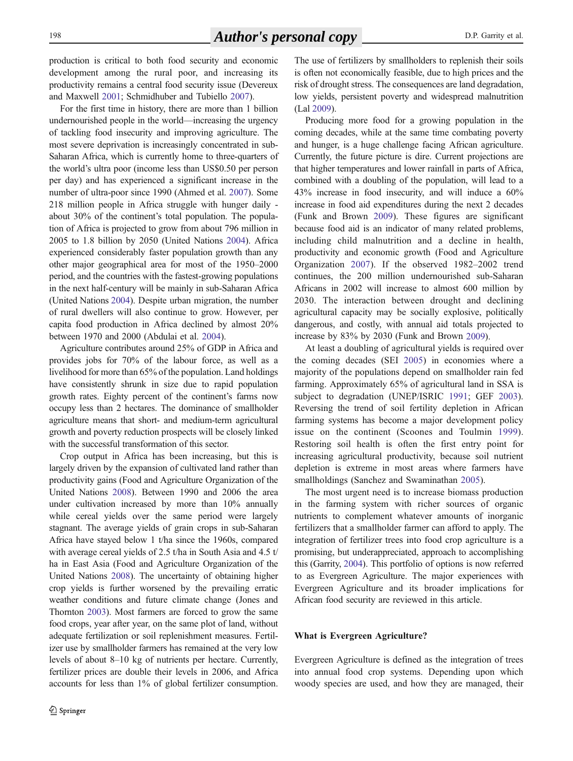production is critical to both food security and economic development among the rural poor, and increasing its productivity remains a central food security issue (Devereux and Maxwell [2001;](#page-15-0) Schmidhuber and Tubiello [2007](#page-16-0)).

For the first time in history, there are more than 1 billion undernourished people in the world—increasing the urgency of tackling food insecurity and improving agriculture. The most severe deprivation is increasingly concentrated in sub-Saharan Africa, which is currently home to three-quarters of the world's ultra poor (income less than US\$0.50 per person per day) and has experienced a significant increase in the number of ultra-poor since 1990 (Ahmed et al. [2007\)](#page-14-0). Some 218 million people in Africa struggle with hunger daily about 30% of the continent's total population. The population of Africa is projected to grow from about 796 million in 2005 to 1.8 billion by 2050 (United Nations [2004](#page-16-0)). Africa experienced considerably faster population growth than any other major geographical area for most of the 1950–2000 period, and the countries with the fastest-growing populations in the next half-century will be mainly in sub-Saharan Africa (United Nations [2004](#page-16-0)). Despite urban migration, the number of rural dwellers will also continue to grow. However, per capita food production in Africa declined by almost 20% between 1970 and 2000 (Abdulai et al. [2004\)](#page-14-0).

Agriculture contributes around 25% of GDP in Africa and provides jobs for 70% of the labour force, as well as a livelihood for more than 65% of the population. Land holdings have consistently shrunk in size due to rapid population growth rates. Eighty percent of the continent's farms now occupy less than 2 hectares. The dominance of smallholder agriculture means that short- and medium-term agricultural growth and poverty reduction prospects will be closely linked with the successful transformation of this sector.

Crop output in Africa has been increasing, but this is largely driven by the expansion of cultivated land rather than productivity gains (Food and Agriculture Organization of the United Nations [2008\)](#page-15-0). Between 1990 and 2006 the area under cultivation increased by more than 10% annually while cereal yields over the same period were largely stagnant. The average yields of grain crops in sub-Saharan Africa have stayed below 1 t/ha since the 1960s, compared with average cereal yields of 2.5 t/ha in South Asia and 4.5 t/ ha in East Asia (Food and Agriculture Organization of the United Nations [2008](#page-15-0)). The uncertainty of obtaining higher crop yields is further worsened by the prevailing erratic weather conditions and future climate change (Jones and Thornton [2003](#page-15-0)). Most farmers are forced to grow the same food crops, year after year, on the same plot of land, without adequate fertilization or soil replenishment measures. Fertilizer use by smallholder farmers has remained at the very low levels of about 8–10 kg of nutrients per hectare. Currently, fertilizer prices are double their levels in 2006, and Africa accounts for less than 1% of global fertilizer consumption.

The use of fertilizers by smallholders to replenish their soils is often not economically feasible, due to high prices and the risk of drought stress. The consequences are land degradation, low yields, persistent poverty and widespread malnutrition (Lal [2009](#page-15-0)).

Producing more food for a growing population in the coming decades, while at the same time combating poverty and hunger, is a huge challenge facing African agriculture. Currently, the future picture is dire. Current projections are that higher temperatures and lower rainfall in parts of Africa, combined with a doubling of the population, will lead to a 43% increase in food insecurity, and will induce a 60% increase in food aid expenditures during the next 2 decades (Funk and Brown [2009\)](#page-15-0). These figures are significant because food aid is an indicator of many related problems, including child malnutrition and a decline in health, productivity and economic growth (Food and Agriculture Organization [2007](#page-15-0)). If the observed 1982–2002 trend continues, the 200 million undernourished sub-Saharan Africans in 2002 will increase to almost 600 million by 2030. The interaction between drought and declining agricultural capacity may be socially explosive, politically dangerous, and costly, with annual aid totals projected to increase by 83% by 2030 (Funk and Brown [2009](#page-15-0)).

At least a doubling of agricultural yields is required over the coming decades (SEI [2005\)](#page-16-0) in economies where a majority of the populations depend on smallholder rain fed farming. Approximately 65% of agricultural land in SSA is subject to degradation (UNEP/ISRIC [1991;](#page-16-0) GEF [2003\)](#page-15-0). Reversing the trend of soil fertility depletion in African farming systems has become a major development policy issue on the continent (Scoones and Toulmin [1999](#page-16-0)). Restoring soil health is often the first entry point for increasing agricultural productivity, because soil nutrient depletion is extreme in most areas where farmers have smallholdings (Sanchez and Swaminathan [2005](#page-16-0)).

The most urgent need is to increase biomass production in the farming system with richer sources of organic nutrients to complement whatever amounts of inorganic fertilizers that a smallholder farmer can afford to apply. The integration of fertilizer trees into food crop agriculture is a promising, but underappreciated, approach to accomplishing this (Garrity, [2004\)](#page-15-0). This portfolio of options is now referred to as Evergreen Agriculture. The major experiences with Evergreen Agriculture and its broader implications for African food security are reviewed in this article.

#### What is Evergreen Agriculture?

Evergreen Agriculture is defined as the integration of trees into annual food crop systems. Depending upon which woody species are used, and how they are managed, their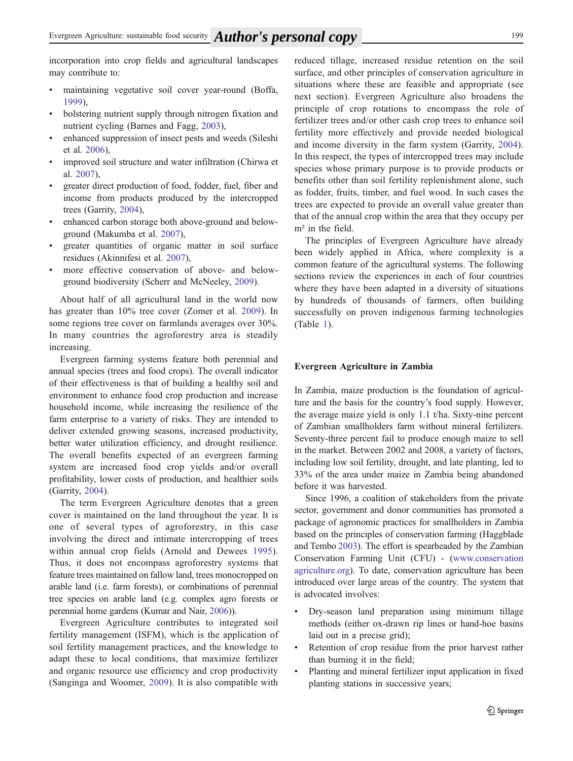incorporation into crop fields and agricultural landscapes may contribute to:

- maintaining vegetative soil cover year-round (Boffa, [1999\)](#page-14-0),
- bolstering nutrient supply through nitrogen fixation and nutrient cycling (Barnes and Fagg, [2003](#page-14-0)),
- enhanced suppression of insect pests and weeds (Sileshi) et al. [2006](#page-16-0)),
- & improved soil structure and water infiltration (Chirwa et al. [2007\)](#page-15-0),
- greater direct production of food, fodder, fuel, fiber and income from products produced by the intercropped trees (Garrity, [2004](#page-15-0)),
- enhanced carbon storage both above-ground and belowground (Makumba et al. [2007](#page-15-0)),
- greater quantities of organic matter in soil surface residues (Akinnifesi et al. [2007\)](#page-14-0),
- more effective conservation of above- and belowground biodiversity (Scherr and McNeeley, [2009\)](#page-16-0).

About half of all agricultural land in the world now has greater than 10% tree cover (Zomer et al. [2009](#page-16-0)). In some regions tree cover on farmlands averages over 30%. In many countries the agroforestry area is steadily increasing.

Evergreen farming systems feature both perennial and annual species (trees and food crops). The overall indicator of their effectiveness is that of building a healthy soil and environment to enhance food crop production and increase household income, while increasing the resilience of the farm enterprise to a variety of risks. They are intended to deliver extended growing seasons, increased productivity, better water utilization efficiency, and drought resilience. The overall benefits expected of an evergreen farming system are increased food crop yields and/or overall profitability, lower costs of production, and healthier soils (Garrity, [2004\)](#page-15-0).

The term Evergreen Agriculture denotes that a green cover is maintained on the land throughout the year. It is one of several types of agroforestry, in this case involving the direct and intimate intercropping of trees within annual crop fields (Arnold and Dewees [1995](#page-14-0)). Thus, it does not encompass agroforestry systems that feature trees maintained on fallow land, trees monocropped on arable land (i.e. farm forests), or combinations of perennial tree species on arable land (e.g. complex agro forests or perennial home gardens (Kumar and Nair, [2006\)](#page-15-0)).

Evergreen Agriculture contributes to integrated soil fertility management (ISFM), which is the application of soil fertility management practices, and the knowledge to adapt these to local conditions, that maximize fertilizer and organic resource use efficiency and crop productivity (Sanginga and Woomer, [2009](#page-16-0)). It is also compatible with

reduced tillage, increased residue retention on the soil surface, and other principles of conservation agriculture in situations where these are feasible and appropriate (see next section). Evergreen Agriculture also broadens the principle of crop rotations to encompass the role of fertilizer trees and/or other cash crop trees to enhance soil fertility more effectively and provide needed biological and income diversity in the farm system (Garrity, [2004](#page-15-0)). In this respect, the types of intercropped trees may include species whose primary purpose is to provide products or benefits other than soil fertility replenishment alone, such as fodder, fruits, timber, and fuel wood. In such cases the trees are expected to provide an overall value greater than that of the annual crop within the area that they occupy per m<sup>2</sup> in the field.

The principles of Evergreen Agriculture have already been widely applied in Africa, where complexity is a common feature of the agricultural systems. The following sections review the experiences in each of four countries where they have been adapted in a diversity of situations by hundreds of thousands of farmers, often building successfully on proven indigenous farming technologies (Table [1\)](#page-4-0).

#### Evergreen Agriculture in Zambia

In Zambia, maize production is the foundation of agriculture and the basis for the country's food supply. However, the average maize yield is only 1.1 t/ha. Sixty-nine percent of Zambian smallholders farm without mineral fertilizers. Seventy-three percent fail to produce enough maize to sell in the market. Between 2002 and 2008, a variety of factors, including low soil fertility, drought, and late planting, led to 33% of the area under maize in Zambia being abandoned before it was harvested.

Since 1996, a coalition of stakeholders from the private sector, government and donor communities has promoted a package of agronomic practices for smallholders in Zambia based on the principles of conservation farming (Haggblade and Tembo [2003\)](#page-15-0). The effort is spearheaded by the Zambian Conservation Farming Unit (CFU) - [\(www.conservation](http://www.conservationagriculture.org) [agriculture.org\)](http://www.conservationagriculture.org). To date, conservation agriculture has been introduced over large areas of the country. The system that is advocated involves:

- & Dry-season land preparation using minimum tillage methods (either ox-drawn rip lines or hand-hoe basins laid out in a precise grid);
- Retention of crop residue from the prior harvest rather than burning it in the field;
- Planting and mineral fertilizer input application in fixed planting stations in successive years;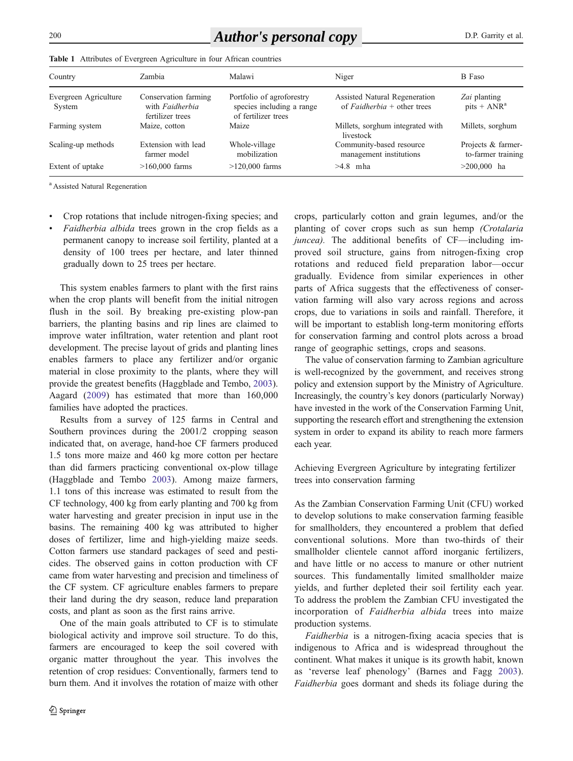| Country                         | Zambia                                                      | Malawi                                                                        | Niger                                                                 | B Faso                                    |
|---------------------------------|-------------------------------------------------------------|-------------------------------------------------------------------------------|-----------------------------------------------------------------------|-------------------------------------------|
| Evergreen Agriculture<br>System | Conservation farming<br>with Faidherbia<br>fertilizer trees | Portfolio of agroforestry<br>species including a range<br>of fertilizer trees | Assisted Natural Regeneration<br>of <i>Faidherbia</i> $+$ other trees | Zai planting<br>pits $+$ ANR <sup>a</sup> |
| Farming system                  | Maize, cotton                                               | Maize                                                                         | Millets, sorghum integrated with<br>livestock                         | Millets, sorghum                          |
| Scaling-up methods              | Extension with lead<br>farmer model                         | Whole-village<br>mobilization                                                 | Community-based resource<br>management institutions                   | Projects & farmer-<br>to-farmer training  |
| Extent of uptake                | $>160,000$ farms                                            | $>120,000$ farms                                                              | $>4.8$ mha                                                            | $>200,000$ ha                             |

<span id="page-4-0"></span>Table 1 Attributes of Evergreen Agriculture in four African countries

<sup>a</sup> Assisted Natural Regeneration

& Crop rotations that include nitrogen-fixing species; and Faidherbia albida trees grown in the crop fields as a permanent canopy to increase soil fertility, planted at a density of 100 trees per hectare, and later thinned gradually down to 25 trees per hectare.

This system enables farmers to plant with the first rains when the crop plants will benefit from the initial nitrogen flush in the soil. By breaking pre-existing plow-pan barriers, the planting basins and rip lines are claimed to improve water infiltration, water retention and plant root development. The precise layout of grids and planting lines enables farmers to place any fertilizer and/or organic material in close proximity to the plants, where they will provide the greatest benefits (Haggblade and Tembo, [2003](#page-15-0)). Aagard [\(2009](#page-14-0)) has estimated that more than 160,000 families have adopted the practices.

Results from a survey of 125 farms in Central and Southern provinces during the 2001/2 cropping season indicated that, on average, hand-hoe CF farmers produced 1.5 tons more maize and 460 kg more cotton per hectare than did farmers practicing conventional ox-plow tillage (Haggblade and Tembo [2003](#page-15-0)). Among maize farmers, 1.1 tons of this increase was estimated to result from the CF technology, 400 kg from early planting and 700 kg from water harvesting and greater precision in input use in the basins. The remaining 400 kg was attributed to higher doses of fertilizer, lime and high-yielding maize seeds. Cotton farmers use standard packages of seed and pesticides. The observed gains in cotton production with CF came from water harvesting and precision and timeliness of the CF system. CF agriculture enables farmers to prepare their land during the dry season, reduce land preparation costs, and plant as soon as the first rains arrive.

One of the main goals attributed to CF is to stimulate biological activity and improve soil structure. To do this, farmers are encouraged to keep the soil covered with organic matter throughout the year. This involves the retention of crop residues: Conventionally, farmers tend to burn them. And it involves the rotation of maize with other crops, particularly cotton and grain legumes, and/or the planting of cover crops such as sun hemp (Crotalaria juncea). The additional benefits of CF—including improved soil structure, gains from nitrogen-fixing crop rotations and reduced field preparation labor—occur gradually. Evidence from similar experiences in other parts of Africa suggests that the effectiveness of conservation farming will also vary across regions and across crops, due to variations in soils and rainfall. Therefore, it will be important to establish long-term monitoring efforts for conservation farming and control plots across a broad range of geographic settings, crops and seasons.

The value of conservation farming to Zambian agriculture is well-recognized by the government, and receives strong policy and extension support by the Ministry of Agriculture. Increasingly, the country's key donors (particularly Norway) have invested in the work of the Conservation Farming Unit, supporting the research effort and strengthening the extension system in order to expand its ability to reach more farmers each year.

Achieving Evergreen Agriculture by integrating fertilizer trees into conservation farming

As the Zambian Conservation Farming Unit (CFU) worked to develop solutions to make conservation farming feasible for smallholders, they encountered a problem that defied conventional solutions. More than two-thirds of their smallholder clientele cannot afford inorganic fertilizers, and have little or no access to manure or other nutrient sources. This fundamentally limited smallholder maize yields, and further depleted their soil fertility each year. To address the problem the Zambian CFU investigated the incorporation of Faidherbia albida trees into maize production systems.

Faidherbia is a nitrogen-fixing acacia species that is indigenous to Africa and is widespread throughout the continent. What makes it unique is its growth habit, known as 'reverse leaf phenology' (Barnes and Fagg [2003](#page-14-0)). Faidherbia goes dormant and sheds its foliage during the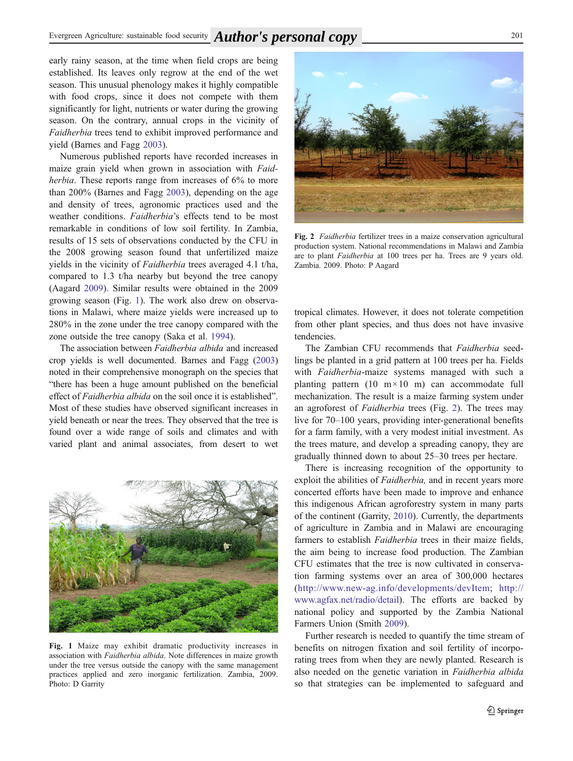early rainy season, at the time when field crops are being established. Its leaves only regrow at the end of the wet season. This unusual phenology makes it highly compatible with food crops, since it does not compete with them significantly for light, nutrients or water during the growing season. On the contrary, annual crops in the vicinity of Faidherbia trees tend to exhibit improved performance and yield (Barnes and Fagg [2003\)](#page-14-0).

Numerous published reports have recorded increases in maize grain yield when grown in association with Faidherbia. These reports range from increases of 6% to more than 200% (Barnes and Fagg [2003\)](#page-14-0), depending on the age and density of trees, agronomic practices used and the weather conditions. Faidherbia's effects tend to be most remarkable in conditions of low soil fertility. In Zambia, results of 15 sets of observations conducted by the CFU in the 2008 growing season found that unfertilized maize yields in the vicinity of Faidherbia trees averaged 4.1 t/ha, compared to 1.3 t/ha nearby but beyond the tree canopy (Aagard [2009](#page-14-0)). Similar results were obtained in the 2009 growing season (Fig. 1). The work also drew on observations in Malawi, where maize yields were increased up to 280% in the zone under the tree canopy compared with the zone outside the tree canopy (Saka et al. [1994](#page-16-0)).

The association between Faidherbia albida and increased crop yields is well documented. Barnes and Fagg [\(2003\)](#page-14-0) noted in their comprehensive monograph on the species that "there has been a huge amount published on the beneficial effect of Faidherbia albida on the soil once it is established". Most of these studies have observed significant increases in yield beneath or near the trees. They observed that the tree is found over a wide range of soils and climates and with varied plant and animal associates, from desert to wet



Fig. 1 Maize may exhibit dramatic productivity increases in association with Faidherbia albida. Note differences in maize growth under the tree versus outside the canopy with the same management practices applied and zero inorganic fertilization. Zambia, 2009. Photo: D Garrity



Fig. 2 Faidherbia fertilizer trees in a maize conservation agricultural production system. National recommendations in Malawi and Zambia are to plant Faidherbia at 100 trees per ha. Trees are 9 years old. Zambia. 2009. Photo: P Aagard

tropical climates. However, it does not tolerate competition from other plant species, and thus does not have invasive tendencies.

The Zambian CFU recommends that Faidherbia seedlings be planted in a grid pattern at 100 trees per ha. Fields with Faidherbia-maize systems managed with such a planting pattern (10  $m \times 10$  m) can accommodate full mechanization. The result is a maize farming system under an agroforest of Faidherbia trees (Fig. 2). The trees may live for 70–100 years, providing inter-generational benefits for a farm family, with a very modest initial investment. As the trees mature, and develop a spreading canopy, they are gradually thinned down to about 25–30 trees per hectare.

There is increasing recognition of the opportunity to exploit the abilities of Faidherbia, and in recent years more concerted efforts have been made to improve and enhance this indigenous African agroforestry system in many parts of the continent (Garrity, [2010](#page-15-0)). Currently, the departments of agriculture in Zambia and in Malawi are encouraging farmers to establish Faidherbia trees in their maize fields, the aim being to increase food production. The Zambian CFU estimates that the tree is now cultivated in conservation farming systems over an area of 300,000 hectares (<http://www.new-ag.info/developments/devItem>; [http://](http://www.agfax.net/radio/detail) [www.agfax.net/radio/detail\)](http://www.agfax.net/radio/detail). The efforts are backed by national policy and supported by the Zambia National Farmers Union (Smith [2009\)](#page-16-0).

Further research is needed to quantify the time stream of benefits on nitrogen fixation and soil fertility of incorporating trees from when they are newly planted. Research is also needed on the genetic variation in Faidherbia albida so that strategies can be implemented to safeguard and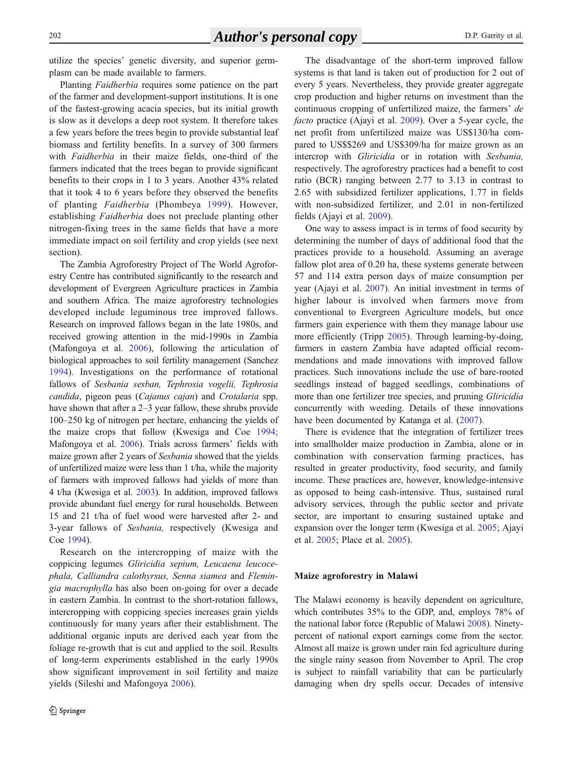utilize the species' genetic diversity, and superior germplasm can be made available to farmers.

Planting Faidherbia requires some patience on the part of the farmer and development-support institutions. It is one of the fastest-growing acacia species, but its initial growth is slow as it develops a deep root system. It therefore takes a few years before the trees begin to provide substantial leaf biomass and fertility benefits. In a survey of 300 farmers with Faidherbia in their maize fields, one-third of the farmers indicated that the trees began to provide significant benefits to their crops in 1 to 3 years. Another 43% related that it took 4 to 6 years before they observed the benefits of planting Faidherbia (Phombeya [1999](#page-15-0)). However, establishing Faidherbia does not preclude planting other nitrogen-fixing trees in the same fields that have a more immediate impact on soil fertility and crop yields (see next section).

The Zambia Agroforestry Project of The World Agroforestry Centre has contributed significantly to the research and development of Evergreen Agriculture practices in Zambia and southern Africa. The maize agroforestry technologies developed include leguminous tree improved fallows. Research on improved fallows began in the late 1980s, and received growing attention in the mid-1990s in Zambia (Mafongoya et al. [2006](#page-15-0)), following the articulation of biological approaches to soil fertility management (Sanchez [1994](#page-16-0)). Investigations on the performance of rotational fallows of Sesbania sesban, Tephrosia vogelii, Tephrosia candida, pigeon peas (Cajanus cajan) and Crotalaria spp. have shown that after a 2–3 year fallow, these shrubs provide 100–250 kg of nitrogen per hectare, enhancing the yields of the maize crops that follow (Kwesiga and Coe [1994](#page-15-0); Mafongoya et al. [2006\)](#page-15-0). Trials across farmers' fields with maize grown after 2 years of Sesbania showed that the yields of unfertilized maize were less than 1 t/ha, while the majority of farmers with improved fallows had yields of more than 4 t/ha (Kwesiga et al. [2003](#page-15-0)). In addition, improved fallows provide abundant fuel energy for rural households. Between 15 and 21 t/ha of fuel wood were harvested after 2- and 3-year fallows of Sesbania, respectively (Kwesiga and Coe [1994\)](#page-15-0).

Research on the intercropping of maize with the coppicing legumes Gliricidia sepium, Leucaena leucocephala, Calliandra calothyrsus, Senna siamea and Flemingia macrophylla has also been on-going for over a decade in eastern Zambia. In contrast to the short-rotation fallows, intercropping with coppicing species increases grain yields continuously for many years after their establishment. The additional organic inputs are derived each year from the foliage re-growth that is cut and applied to the soil. Results of long-term experiments established in the early 1990s show significant improvement in soil fertility and maize yields (Sileshi and Mafongoya [2006\)](#page-16-0).

The disadvantage of the short-term improved fallow systems is that land is taken out of production for 2 out of every 5 years. Nevertheless, they provide greater aggregate crop production and higher returns on investment than the continuous cropping of unfertilized maize, the farmers' de facto practice (Ajayi et al. [2009](#page-14-0)). Over a 5-year cycle, the net profit from unfertilized maize was US\$130/ha compared to US\$\$269 and US\$309/ha for maize grown as an intercrop with Gliricidia or in rotation with Sesbania, respectively. The agroforestry practices had a benefit to cost ratio (BCR) ranging between 2.77 to 3.13 in contrast to 2.65 with subsidized fertilizer applications, 1.77 in fields with non-subsidized fertilizer, and 2.01 in non-fertilized fields (Ajayi et al. [2009\)](#page-14-0).

One way to assess impact is in terms of food security by determining the number of days of additional food that the practices provide to a household. Assuming an average fallow plot area of 0.20 ha, these systems generate between 57 and 114 extra person days of maize consumption per year (Ajayi et al. [2007\)](#page-14-0). An initial investment in terms of higher labour is involved when farmers move from conventional to Evergreen Agriculture models, but once farmers gain experience with them they manage labour use more efficiently (Tripp [2005\)](#page-16-0). Through learning-by-doing, farmers in eastern Zambia have adapted official recommendations and made innovations with improved fallow practices. Such innovations include the use of bare-rooted seedlings instead of bagged seedlings, combinations of more than one fertilizer tree species, and pruning Gliricidia concurrently with weeding. Details of these innovations have been documented by Katanga et al. ([2007\)](#page-15-0).

There is evidence that the integration of fertilizer trees into smallholder maize production in Zambia, alone or in combination with conservation farming practices, has resulted in greater productivity, food security, and family income. These practices are, however, knowledge-intensive as opposed to being cash-intensive. Thus, sustained rural advisory services, through the public sector and private sector, are important to ensuring sustained uptake and expansion over the longer term (Kwesiga et al. [2005;](#page-15-0) Ajayi et al. [2005](#page-14-0); Place et al. [2005](#page-15-0)).

#### Maize agroforestry in Malawi

The Malawi economy is heavily dependent on agriculture, which contributes 35% to the GDP, and, employs 78% of the national labor force (Republic of Malawi [2008\)](#page-16-0). Ninetypercent of national export earnings come from the sector. Almost all maize is grown under rain fed agriculture during the single rainy season from November to April. The crop is subject to rainfall variability that can be particularly damaging when dry spells occur. Decades of intensive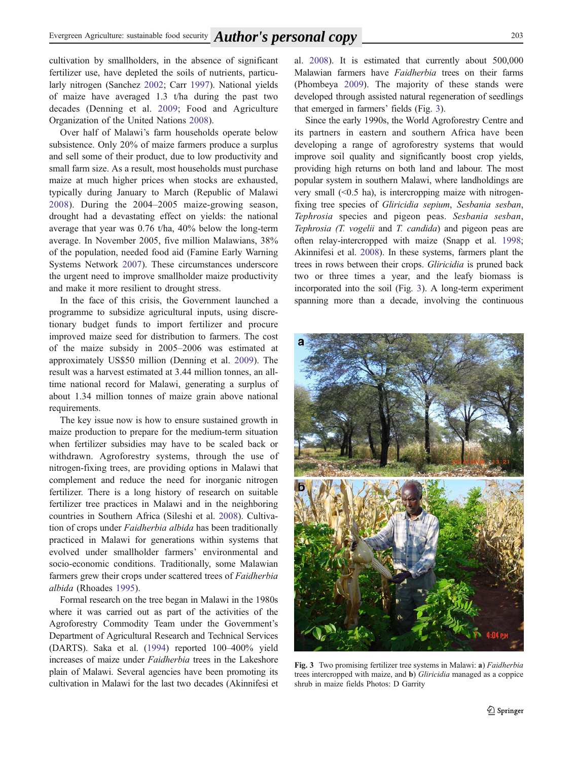cultivation by smallholders, in the absence of significant fertilizer use, have depleted the soils of nutrients, particularly nitrogen (Sanchez [2002;](#page-16-0) Carr [1997\)](#page-14-0). National yields of maize have averaged 1.3 t/ha during the past two decades (Denning et al. [2009;](#page-15-0) Food and Agriculture Organization of the United Nations [2008\)](#page-15-0).

Over half of Malawi's farm households operate below subsistence. Only 20% of maize farmers produce a surplus and sell some of their product, due to low productivity and small farm size. As a result, most households must purchase maize at much higher prices when stocks are exhausted, typically during January to March (Republic of Malawi [2008\)](#page-16-0). During the 2004–2005 maize-growing season, drought had a devastating effect on yields: the national average that year was 0.76 t/ha, 40% below the long-term average. In November 2005, five million Malawians, 38% of the population, needed food aid (Famine Early Warning Systems Network [2007](#page-15-0)). These circumstances underscore the urgent need to improve smallholder maize productivity and make it more resilient to drought stress.

In the face of this crisis, the Government launched a programme to subsidize agricultural inputs, using discretionary budget funds to import fertilizer and procure improved maize seed for distribution to farmers. The cost of the maize subsidy in 2005–2006 was estimated at approximately US\$50 million (Denning et al. [2009\)](#page-15-0). The result was a harvest estimated at 3.44 million tonnes, an alltime national record for Malawi, generating a surplus of about 1.34 million tonnes of maize grain above national requirements.

The key issue now is how to ensure sustained growth in maize production to prepare for the medium-term situation when fertilizer subsidies may have to be scaled back or withdrawn. Agroforestry systems, through the use of nitrogen-fixing trees, are providing options in Malawi that complement and reduce the need for inorganic nitrogen fertilizer. There is a long history of research on suitable fertilizer tree practices in Malawi and in the neighboring countries in Southern Africa (Sileshi et al. [2008](#page-16-0)). Cultivation of crops under Faidherbia albida has been traditionally practiced in Malawi for generations within systems that evolved under smallholder farmers' environmental and socio-economic conditions. Traditionally, some Malawian farmers grew their crops under scattered trees of Faidherbia albida (Rhoades [1995](#page-16-0)).

Formal research on the tree began in Malawi in the 1980s where it was carried out as part of the activities of the Agroforestry Commodity Team under the Government's Department of Agricultural Research and Technical Services (DARTS). Saka et al. ([1994\)](#page-16-0) reported 100–400% yield increases of maize under Faidherbia trees in the Lakeshore plain of Malawi. Several agencies have been promoting its cultivation in Malawi for the last two decades (Akinnifesi et

al. [2008\)](#page-14-0). It is estimated that currently about 500,000 Malawian farmers have Faidherbia trees on their farms (Phombeya [2009](#page-15-0)). The majority of these stands were developed through assisted natural regeneration of seedlings that emerged in farmers' fields (Fig. 3).

Since the early 1990s, the World Agroforestry Centre and its partners in eastern and southern Africa have been developing a range of agroforestry systems that would improve soil quality and significantly boost crop yields, providing high returns on both land and labour. The most popular system in southern Malawi, where landholdings are very small (<0.5 ha), is intercropping maize with nitrogenfixing tree species of Gliricidia sepium, Sesbania sesban, Tephrosia species and pigeon peas. Sesbania sesban, Tephrosia (T. vogelii and T. candida) and pigeon peas are often relay-intercropped with maize (Snapp et al. [1998;](#page-16-0) Akinnifesi et al. [2008](#page-14-0)). In these systems, farmers plant the trees in rows between their crops. Gliricidia is pruned back two or three times a year, and the leafy biomass is incorporated into the soil (Fig. 3). A long-term experiment spanning more than a decade, involving the continuous



Fig. 3 Two promising fertilizer tree systems in Malawi: a) Faidherbia trees intercropped with maize, and b) Gliricidia managed as a coppice shrub in maize fields Photos: D Garrity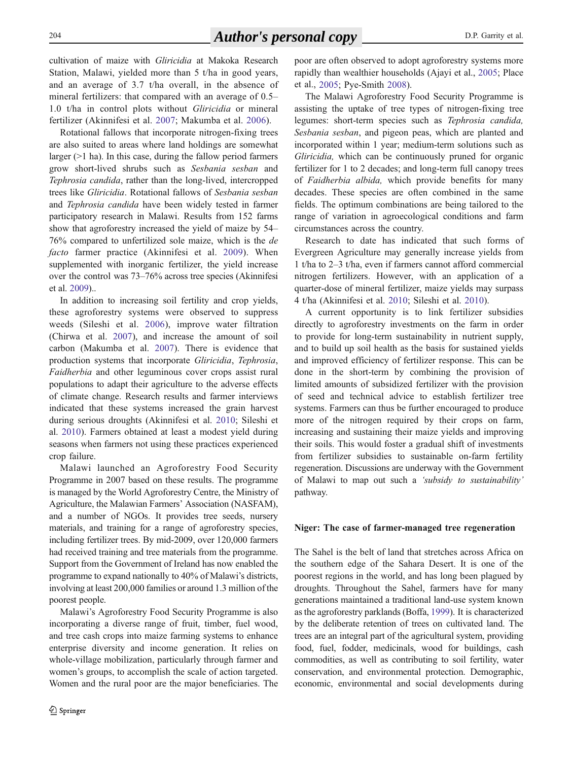cultivation of maize with Gliricidia at Makoka Research Station, Malawi, yielded more than 5 t/ha in good years, and an average of 3.7 t/ha overall, in the absence of mineral fertilizers: that compared with an average of 0.5– 1.0 t/ha in control plots without Gliricidia or mineral fertilizer (Akinnifesi et al. [2007](#page-14-0); Makumba et al. [2006\)](#page-15-0).

Rotational fallows that incorporate nitrogen-fixing trees are also suited to areas where land holdings are somewhat larger (>1 ha). In this case, during the fallow period farmers grow short-lived shrubs such as Sesbania sesban and Tephrosia candida, rather than the long-lived, intercropped trees like Gliricidia. Rotational fallows of Sesbania sesban and Tephrosia candida have been widely tested in farmer participatory research in Malawi. Results from 152 farms show that agroforestry increased the yield of maize by 54– 76% compared to unfertilized sole maize, which is the de facto farmer practice (Akinnifesi et al. [2009\)](#page-14-0). When supplemented with inorganic fertilizer, the yield increase over the control was 73–76% across tree species (Akinnifesi et al. [2009](#page-14-0))..

In addition to increasing soil fertility and crop yields, these agroforestry systems were observed to suppress weeds (Sileshi et al. [2006](#page-16-0)), improve water filtration (Chirwa et al. [2007](#page-15-0)), and increase the amount of soil carbon (Makumba et al. [2007](#page-15-0)). There is evidence that production systems that incorporate Gliricidia, Tephrosia, Faidherbia and other leguminous cover crops assist rural populations to adapt their agriculture to the adverse effects of climate change. Research results and farmer interviews indicated that these systems increased the grain harvest during serious droughts (Akinnifesi et al. [2010;](#page-14-0) Sileshi et al. [2010](#page-16-0)). Farmers obtained at least a modest yield during seasons when farmers not using these practices experienced crop failure.

Malawi launched an Agroforestry Food Security Programme in 2007 based on these results. The programme is managed by the World Agroforestry Centre, the Ministry of Agriculture, the Malawian Farmers' Association (NASFAM), and a number of NGOs. It provides tree seeds, nursery materials, and training for a range of agroforestry species, including fertilizer trees. By mid-2009, over 120,000 farmers had received training and tree materials from the programme. Support from the Government of Ireland has now enabled the programme to expand nationally to 40% of Malawi's districts, involving at least 200,000 families or around 1.3 million of the poorest people.

Malawi's Agroforestry Food Security Programme is also incorporating a diverse range of fruit, timber, fuel wood, and tree cash crops into maize farming systems to enhance enterprise diversity and income generation. It relies on whole-village mobilization, particularly through farmer and women's groups, to accomplish the scale of action targeted. Women and the rural poor are the major beneficiaries. The

poor are often observed to adopt agroforestry systems more rapidly than wealthier households (Ajayi et al., [2005](#page-14-0); Place et al., [2005;](#page-15-0) Pye-Smith [2008\)](#page-15-0).

The Malawi Agroforestry Food Security Programme is assisting the uptake of tree types of nitrogen-fixing tree legumes: short-term species such as Tephrosia candida, Sesbania sesban, and pigeon peas, which are planted and incorporated within 1 year; medium-term solutions such as Gliricidia, which can be continuously pruned for organic fertilizer for 1 to 2 decades; and long-term full canopy trees of Faidherbia albida, which provide benefits for many decades. These species are often combined in the same fields. The optimum combinations are being tailored to the range of variation in agroecological conditions and farm circumstances across the country.

Research to date has indicated that such forms of Evergreen Agriculture may generally increase yields from 1 t/ha to 2–3 t/ha, even if farmers cannot afford commercial nitrogen fertilizers. However, with an application of a quarter-dose of mineral fertilizer, maize yields may surpass 4 t/ha (Akinnifesi et al. [2010;](#page-14-0) Sileshi et al. [2010](#page-16-0)).

A current opportunity is to link fertilizer subsidies directly to agroforestry investments on the farm in order to provide for long-term sustainability in nutrient supply, and to build up soil health as the basis for sustained yields and improved efficiency of fertilizer response. This can be done in the short-term by combining the provision of limited amounts of subsidized fertilizer with the provision of seed and technical advice to establish fertilizer tree systems. Farmers can thus be further encouraged to produce more of the nitrogen required by their crops on farm, increasing and sustaining their maize yields and improving their soils. This would foster a gradual shift of investments from fertilizer subsidies to sustainable on-farm fertility regeneration. Discussions are underway with the Government of Malawi to map out such a 'subsidy to sustainability' pathway.

#### Niger: The case of farmer-managed tree regeneration

The Sahel is the belt of land that stretches across Africa on the southern edge of the Sahara Desert. It is one of the poorest regions in the world, and has long been plagued by droughts. Throughout the Sahel, farmers have for many generations maintained a traditional land-use system known as the agroforestry parklands (Boffa, [1999\)](#page-14-0). It is characterized by the deliberate retention of trees on cultivated land. The trees are an integral part of the agricultural system, providing food, fuel, fodder, medicinals, wood for buildings, cash commodities, as well as contributing to soil fertility, water conservation, and environmental protection. Demographic, economic, environmental and social developments during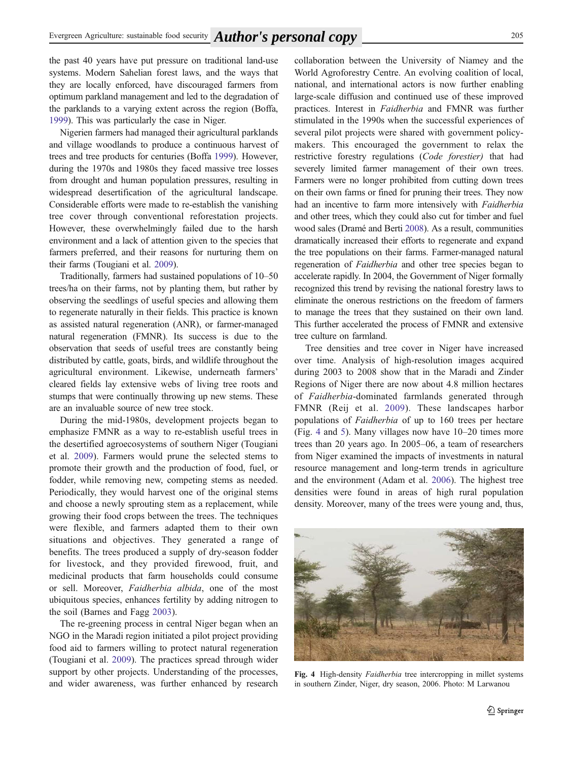the past 40 years have put pressure on traditional land-use systems. Modern Sahelian forest laws, and the ways that they are locally enforced, have discouraged farmers from optimum parkland management and led to the degradation of the parklands to a varying extent across the region (Boffa, [1999\)](#page-14-0). This was particularly the case in Niger.

Nigerien farmers had managed their agricultural parklands and village woodlands to produce a continuous harvest of trees and tree products for centuries (Boffa [1999](#page-14-0)). However, during the 1970s and 1980s they faced massive tree losses from drought and human population pressures, resulting in widespread desertification of the agricultural landscape. Considerable efforts were made to re-establish the vanishing tree cover through conventional reforestation projects. However, these overwhelmingly failed due to the harsh environment and a lack of attention given to the species that farmers preferred, and their reasons for nurturing them on their farms (Tougiani et al. [2009\)](#page-16-0).

Traditionally, farmers had sustained populations of 10–50 trees/ha on their farms, not by planting them, but rather by observing the seedlings of useful species and allowing them to regenerate naturally in their fields. This practice is known as assisted natural regeneration (ANR), or farmer-managed natural regeneration (FMNR). Its success is due to the observation that seeds of useful trees are constantly being distributed by cattle, goats, birds, and wildlife throughout the agricultural environment. Likewise, underneath farmers' cleared fields lay extensive webs of living tree roots and stumps that were continually throwing up new stems. These are an invaluable source of new tree stock.

During the mid-1980s, development projects began to emphasize FMNR as a way to re-establish useful trees in the desertified agroecosystems of southern Niger (Tougiani et al. [2009](#page-16-0)). Farmers would prune the selected stems to promote their growth and the production of food, fuel, or fodder, while removing new, competing stems as needed. Periodically, they would harvest one of the original stems and choose a newly sprouting stem as a replacement, while growing their food crops between the trees. The techniques were flexible, and farmers adapted them to their own situations and objectives. They generated a range of benefits. The trees produced a supply of dry-season fodder for livestock, and they provided firewood, fruit, and medicinal products that farm households could consume or sell. Moreover, Faidherbia albida, one of the most ubiquitous species, enhances fertility by adding nitrogen to the soil (Barnes and Fagg [2003\)](#page-14-0).

The re-greening process in central Niger began when an NGO in the Maradi region initiated a pilot project providing food aid to farmers willing to protect natural regeneration (Tougiani et al. [2009](#page-16-0)). The practices spread through wider support by other projects. Understanding of the processes, and wider awareness, was further enhanced by research collaboration between the University of Niamey and the World Agroforestry Centre. An evolving coalition of local, national, and international actors is now further enabling large-scale diffusion and continued use of these improved practices. Interest in Faidherbia and FMNR was further stimulated in the 1990s when the successful experiences of several pilot projects were shared with government policymakers. This encouraged the government to relax the restrictive forestry regulations (Code forestier) that had severely limited farmer management of their own trees. Farmers were no longer prohibited from cutting down trees on their own farms or fined for pruning their trees. They now had an incentive to farm more intensively with Faidherbia and other trees, which they could also cut for timber and fuel wood sales (Dramé and Berti [2008\)](#page-15-0). As a result, communities dramatically increased their efforts to regenerate and expand the tree populations on their farms. Farmer-managed natural regeneration of Faidherbia and other tree species began to accelerate rapidly. In 2004, the Government of Niger formally recognized this trend by revising the national forestry laws to eliminate the onerous restrictions on the freedom of farmers to manage the trees that they sustained on their own land. This further accelerated the process of FMNR and extensive tree culture on farmland.

Tree densities and tree cover in Niger have increased over time. Analysis of high-resolution images acquired during 2003 to 2008 show that in the Maradi and Zinder Regions of Niger there are now about 4.8 million hectares of Faidherbia-dominated farmlands generated through FMNR (Reij et al. [2009](#page-16-0)). These landscapes harbor populations of Faidherbia of up to 160 trees per hectare (Fig. 4 and [5](#page-10-0)). Many villages now have 10–20 times more trees than 20 years ago. In 2005–06, a team of researchers from Niger examined the impacts of investments in natural resource management and long-term trends in agriculture and the environment (Adam et al. [2006\)](#page-14-0). The highest tree densities were found in areas of high rural population density. Moreover, many of the trees were young and, thus,



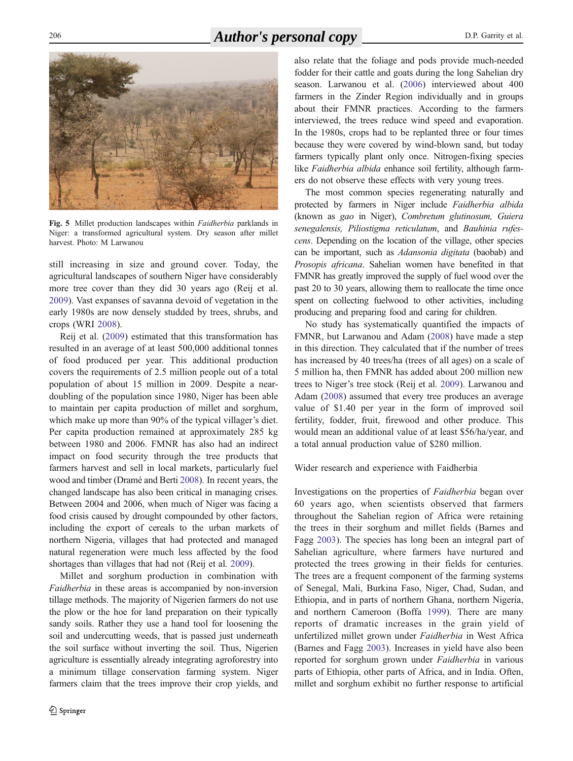<span id="page-10-0"></span>

Fig. 5 Millet production landscapes within *Faidherbia* parklands in Niger: a transformed agricultural system. Dry season after millet harvest. Photo: M Larwanou

still increasing in size and ground cover. Today, the agricultural landscapes of southern Niger have considerably more tree cover than they did 30 years ago (Reij et al. [2009\)](#page-16-0). Vast expanses of savanna devoid of vegetation in the early 1980s are now densely studded by trees, shrubs, and crops (WRI [2008](#page-16-0)).

Reij et al. ([2009\)](#page-16-0) estimated that this transformation has resulted in an average of at least 500,000 additional tonnes of food produced per year. This additional production covers the requirements of 2.5 million people out of a total population of about 15 million in 2009. Despite a neardoubling of the population since 1980, Niger has been able to maintain per capita production of millet and sorghum, which make up more than 90% of the typical villager's diet. Per capita production remained at approximately 285 kg between 1980 and 2006. FMNR has also had an indirect impact on food security through the tree products that farmers harvest and sell in local markets, particularly fuel wood and timber (Dramé and Berti [2008\)](#page-15-0). In recent years, the changed landscape has also been critical in managing crises. Between 2004 and 2006, when much of Niger was facing a food crisis caused by drought compounded by other factors, including the export of cereals to the urban markets of northern Nigeria, villages that had protected and managed natural regeneration were much less affected by the food shortages than villages that had not (Reij et al. [2009](#page-16-0)).

Millet and sorghum production in combination with Faidherbia in these areas is accompanied by non-inversion tillage methods. The majority of Nigerien farmers do not use the plow or the hoe for land preparation on their typically sandy soils. Rather they use a hand tool for loosening the soil and undercutting weeds, that is passed just underneath the soil surface without inverting the soil. Thus, Nigerien agriculture is essentially already integrating agroforestry into a minimum tillage conservation farming system. Niger farmers claim that the trees improve their crop yields, and

also relate that the foliage and pods provide much-needed fodder for their cattle and goats during the long Sahelian dry season. Larwanou et al. [\(2006](#page-15-0)) interviewed about 400 farmers in the Zinder Region individually and in groups about their FMNR practices. According to the farmers interviewed, the trees reduce wind speed and evaporation. In the 1980s, crops had to be replanted three or four times because they were covered by wind-blown sand, but today farmers typically plant only once. Nitrogen-fixing species like Faidherbia albida enhance soil fertility, although farmers do not observe these effects with very young trees.

The most common species regenerating naturally and protected by farmers in Niger include Faidherbia albida (known as gao in Niger), Combretum glutinosum, Guiera senegalensis, Piliostigma reticulatum, and Bauhinia rufescens. Depending on the location of the village, other species can be important, such as Adansonia digitata (baobab) and Prosopis africana. Sahelian women have benefited in that FMNR has greatly improved the supply of fuel wood over the past 20 to 30 years, allowing them to reallocate the time once spent on collecting fuelwood to other activities, including producing and preparing food and caring for children.

No study has systematically quantified the impacts of FMNR, but Larwanou and Adam ([2008\)](#page-15-0) have made a step in this direction. They calculated that if the number of trees has increased by 40 trees/ha (trees of all ages) on a scale of 5 million ha, then FMNR has added about 200 million new trees to Niger's tree stock (Reij et al. [2009\)](#page-16-0). Larwanou and Adam ([2008\)](#page-15-0) assumed that every tree produces an average value of \$1.40 per year in the form of improved soil fertility, fodder, fruit, firewood and other produce. This would mean an additional value of at least \$56/ha/year, and a total annual production value of \$280 million.

Wider research and experience with Faidherbia

Investigations on the properties of Faidherbia began over 60 years ago, when scientists observed that farmers throughout the Sahelian region of Africa were retaining the trees in their sorghum and millet fields (Barnes and Fagg [2003\)](#page-14-0). The species has long been an integral part of Sahelian agriculture, where farmers have nurtured and protected the trees growing in their fields for centuries. The trees are a frequent component of the farming systems of Senegal, Mali, Burkina Faso, Niger, Chad, Sudan, and Ethiopia, and in parts of northern Ghana, northern Nigeria, and northern Cameroon (Boffa [1999](#page-14-0)). There are many reports of dramatic increases in the grain yield of unfertilized millet grown under Faidherbia in West Africa (Barnes and Fagg [2003](#page-14-0)). Increases in yield have also been reported for sorghum grown under Faidherbia in various parts of Ethiopia, other parts of Africa, and in India. Often, millet and sorghum exhibit no further response to artificial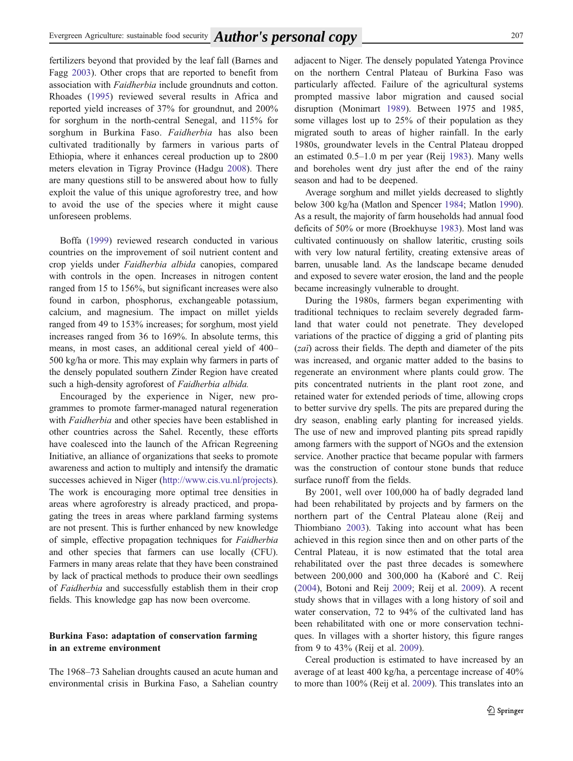fertilizers beyond that provided by the leaf fall (Barnes and Fagg [2003\)](#page-14-0). Other crops that are reported to benefit from association with Faidherbia include groundnuts and cotton. Rhoades [\(1995](#page-16-0)) reviewed several results in Africa and reported yield increases of 37% for groundnut, and 200% for sorghum in the north-central Senegal, and 115% for sorghum in Burkina Faso. Faidherbia has also been cultivated traditionally by farmers in various parts of Ethiopia, where it enhances cereal production up to 2800 meters elevation in Tigray Province (Hadgu [2008](#page-15-0)). There are many questions still to be answered about how to fully exploit the value of this unique agroforestry tree, and how to avoid the use of the species where it might cause unforeseen problems.

Boffa [\(1999](#page-14-0)) reviewed research conducted in various countries on the improvement of soil nutrient content and crop yields under Faidherbia albida canopies, compared with controls in the open. Increases in nitrogen content ranged from 15 to 156%, but significant increases were also found in carbon, phosphorus, exchangeable potassium, calcium, and magnesium. The impact on millet yields ranged from 49 to 153% increases; for sorghum, most yield increases ranged from 36 to 169%. In absolute terms, this means, in most cases, an additional cereal yield of 400– 500 kg/ha or more. This may explain why farmers in parts of the densely populated southern Zinder Region have created such a high-density agroforest of Faidherbia albida.

Encouraged by the experience in Niger, new programmes to promote farmer-managed natural regeneration with Faidherbia and other species have been established in other countries across the Sahel. Recently, these efforts have coalesced into the launch of the African Regreening Initiative, an alliance of organizations that seeks to promote awareness and action to multiply and intensify the dramatic successes achieved in Niger [\(http://www.cis.vu.nl/projects](http://www.cis.vu.nl/projects)). The work is encouraging more optimal tree densities in areas where agroforestry is already practiced, and propagating the trees in areas where parkland farming systems are not present. This is further enhanced by new knowledge of simple, effective propagation techniques for Faidherbia and other species that farmers can use locally (CFU). Farmers in many areas relate that they have been constrained by lack of practical methods to produce their own seedlings of Faidherbia and successfully establish them in their crop fields. This knowledge gap has now been overcome.

#### Burkina Faso: adaptation of conservation farming in an extreme environment

The 1968–73 Sahelian droughts caused an acute human and environmental crisis in Burkina Faso, a Sahelian country adjacent to Niger. The densely populated Yatenga Province on the northern Central Plateau of Burkina Faso was particularly affected. Failure of the agricultural systems prompted massive labor migration and caused social disruption (Monimart [1989\)](#page-15-0). Between 1975 and 1985, some villages lost up to 25% of their population as they migrated south to areas of higher rainfall. In the early 1980s, groundwater levels in the Central Plateau dropped an estimated 0.5–1.0 m per year (Reij [1983\)](#page-16-0). Many wells and boreholes went dry just after the end of the rainy season and had to be deepened.

Average sorghum and millet yields decreased to slightly below 300 kg/ha (Matlon and Spencer [1984;](#page-15-0) Matlon [1990\)](#page-15-0). As a result, the majority of farm households had annual food deficits of 50% or more (Broekhuyse [1983](#page-14-0)). Most land was cultivated continuously on shallow lateritic, crusting soils with very low natural fertility, creating extensive areas of barren, unusable land. As the landscape became denuded and exposed to severe water erosion, the land and the people became increasingly vulnerable to drought.

During the 1980s, farmers began experimenting with traditional techniques to reclaim severely degraded farmland that water could not penetrate. They developed variations of the practice of digging a grid of planting pits (*zaï*) across their fields. The depth and diameter of the pits was increased, and organic matter added to the basins to regenerate an environment where plants could grow. The pits concentrated nutrients in the plant root zone, and retained water for extended periods of time, allowing crops to better survive dry spells. The pits are prepared during the dry season, enabling early planting for increased yields. The use of new and improved planting pits spread rapidly among farmers with the support of NGOs and the extension service. Another practice that became popular with farmers was the construction of contour stone bunds that reduce surface runoff from the fields.

By 2001, well over 100,000 ha of badly degraded land had been rehabilitated by projects and by farmers on the northern part of the Central Plateau alone (Reij and Thiombiano [2003](#page-16-0)). Taking into account what has been achieved in this region since then and on other parts of the Central Plateau, it is now estimated that the total area rehabilitated over the past three decades is somewhere between 200,000 and 300,000 ha (Kaboré and C. Reij [\(2004](#page-15-0)), Botoni and Reij [2009](#page-14-0); Reij et al. [2009\)](#page-16-0). A recent study shows that in villages with a long history of soil and water conservation, 72 to 94% of the cultivated land has been rehabilitated with one or more conservation techniques. In villages with a shorter history, this figure ranges from 9 to 43% (Reij et al. [2009](#page-16-0)).

Cereal production is estimated to have increased by an average of at least 400 kg/ha, a percentage increase of 40% to more than 100% (Reij et al. [2009\)](#page-16-0). This translates into an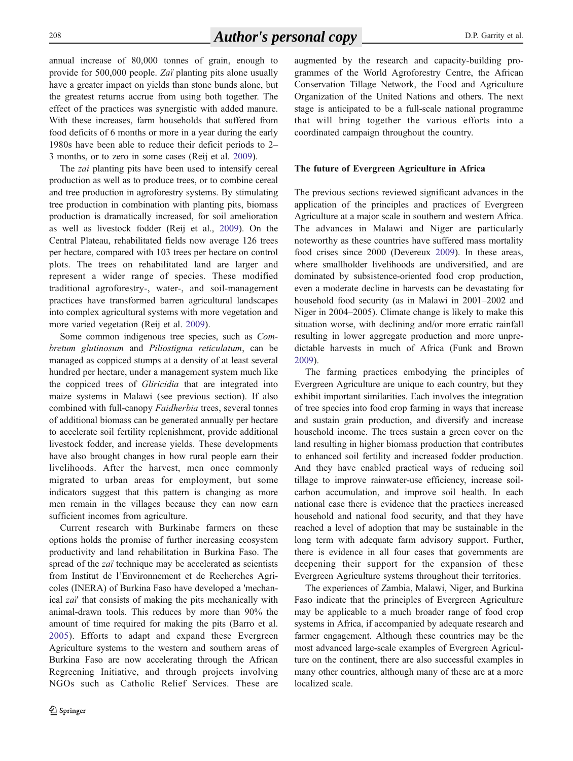annual increase of 80,000 tonnes of grain, enough to provide for 500,000 people. Zaï planting pits alone usually have a greater impact on yields than stone bunds alone, but the greatest returns accrue from using both together. The effect of the practices was synergistic with added manure. With these increases, farm households that suffered from food deficits of 6 months or more in a year during the early 1980s have been able to reduce their deficit periods to 2– 3 months, or to zero in some cases (Reij et al. [2009](#page-16-0)).

The *zai* planting pits have been used to intensify cereal production as well as to produce trees, or to combine cereal and tree production in agroforestry systems. By stimulating tree production in combination with planting pits, biomass production is dramatically increased, for soil amelioration as well as livestock fodder (Reij et al., [2009](#page-16-0)). On the Central Plateau, rehabilitated fields now average 126 trees per hectare, compared with 103 trees per hectare on control plots. The trees on rehabilitated land are larger and represent a wider range of species. These modified traditional agroforestry-, water-, and soil-management practices have transformed barren agricultural landscapes into complex agricultural systems with more vegetation and more varied vegetation (Reij et al. [2009](#page-16-0)).

Some common indigenous tree species, such as Combretum glutinosum and Piliostigma reticulatum, can be managed as coppiced stumps at a density of at least several hundred per hectare, under a management system much like the coppiced trees of Gliricidia that are integrated into maize systems in Malawi (see previous section). If also combined with full-canopy Faidherbia trees, several tonnes of additional biomass can be generated annually per hectare to accelerate soil fertility replenishment, provide additional livestock fodder, and increase yields. These developments have also brought changes in how rural people earn their livelihoods. After the harvest, men once commonly migrated to urban areas for employment, but some indicators suggest that this pattern is changing as more men remain in the villages because they can now earn sufficient incomes from agriculture.

Current research with Burkinabe farmers on these options holds the promise of further increasing ecosystem productivity and land rehabilitation in Burkina Faso. The spread of the *zaï* technique may be accelerated as scientists from Institut de l'Environnement et de Recherches Agricoles (INERA) of Burkina Faso have developed a 'mechanical zaï' that consists of making the pits mechanically with animal-drawn tools. This reduces by more than 90% the amount of time required for making the pits (Barro et al. [2005\)](#page-14-0). Efforts to adapt and expand these Evergreen Agriculture systems to the western and southern areas of Burkina Faso are now accelerating through the African Regreening Initiative, and through projects involving NGOs such as Catholic Relief Services. These are

augmented by the research and capacity-building programmes of the World Agroforestry Centre, the African Conservation Tillage Network, the Food and Agriculture Organization of the United Nations and others. The next stage is anticipated to be a full-scale national programme that will bring together the various efforts into a coordinated campaign throughout the country.

#### The future of Evergreen Agriculture in Africa

The previous sections reviewed significant advances in the application of the principles and practices of Evergreen Agriculture at a major scale in southern and western Africa. The advances in Malawi and Niger are particularly noteworthy as these countries have suffered mass mortality food crises since 2000 (Devereux [2009\)](#page-15-0). In these areas, where smallholder livelihoods are undiversified, and are dominated by subsistence-oriented food crop production, even a moderate decline in harvests can be devastating for household food security (as in Malawi in 2001–2002 and Niger in 2004–2005). Climate change is likely to make this situation worse, with declining and/or more erratic rainfall resulting in lower aggregate production and more unpredictable harvests in much of Africa (Funk and Brown [2009](#page-15-0)).

The farming practices embodying the principles of Evergreen Agriculture are unique to each country, but they exhibit important similarities. Each involves the integration of tree species into food crop farming in ways that increase and sustain grain production, and diversify and increase household income. The trees sustain a green cover on the land resulting in higher biomass production that contributes to enhanced soil fertility and increased fodder production. And they have enabled practical ways of reducing soil tillage to improve rainwater-use efficiency, increase soilcarbon accumulation, and improve soil health. In each national case there is evidence that the practices increased household and national food security, and that they have reached a level of adoption that may be sustainable in the long term with adequate farm advisory support. Further, there is evidence in all four cases that governments are deepening their support for the expansion of these Evergreen Agriculture systems throughout their territories.

The experiences of Zambia, Malawi, Niger, and Burkina Faso indicate that the principles of Evergreen Agriculture may be applicable to a much broader range of food crop systems in Africa, if accompanied by adequate research and farmer engagement. Although these countries may be the most advanced large-scale examples of Evergreen Agriculture on the continent, there are also successful examples in many other countries, although many of these are at a more localized scale.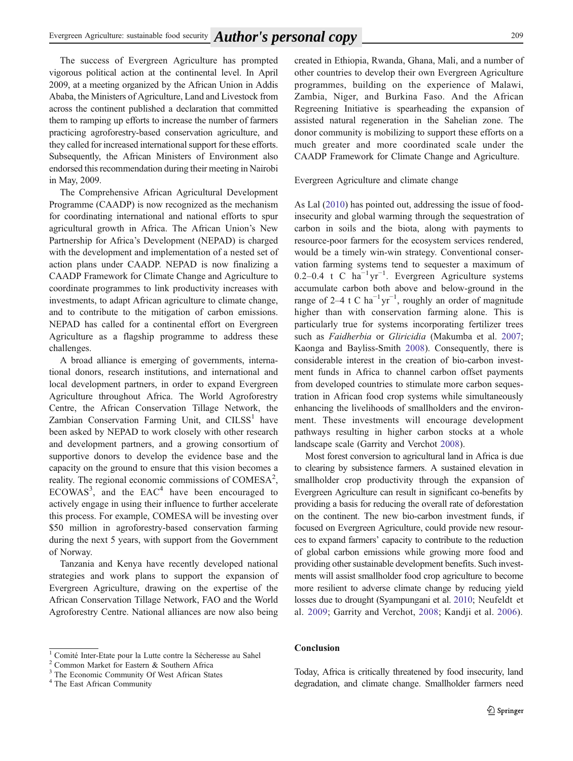The success of Evergreen Agriculture has prompted vigorous political action at the continental level. In April 2009, at a meeting organized by the African Union in Addis Ababa, the Ministers of Agriculture, Land and Livestock from across the continent published a declaration that committed them to ramping up efforts to increase the number of farmers practicing agroforestry-based conservation agriculture, and they called for increased international support for these efforts. Subsequently, the African Ministers of Environment also endorsed this recommendation during their meeting in Nairobi in May, 2009.

The Comprehensive African Agricultural Development Programme (CAADP) is now recognized as the mechanism for coordinating international and national efforts to spur agricultural growth in Africa. The African Union's New Partnership for Africa's Development (NEPAD) is charged with the development and implementation of a nested set of action plans under CAADP. NEPAD is now finalizing a CAADP Framework for Climate Change and Agriculture to coordinate programmes to link productivity increases with investments, to adapt African agriculture to climate change, and to contribute to the mitigation of carbon emissions. NEPAD has called for a continental effort on Evergreen Agriculture as a flagship programme to address these challenges.

A broad alliance is emerging of governments, international donors, research institutions, and international and local development partners, in order to expand Evergreen Agriculture throughout Africa. The World Agroforestry Centre, the African Conservation Tillage Network, the Zambian Conservation Farming Unit, and  $\text{CILSS}^1$  have been asked by NEPAD to work closely with other research and development partners, and a growing consortium of supportive donors to develop the evidence base and the capacity on the ground to ensure that this vision becomes a reality. The regional economic commissions of COMESA<sup>2</sup>,  $ECOWAS<sup>3</sup>$ , and the  $EAC<sup>4</sup>$  have been encouraged to actively engage in using their influence to further accelerate this process. For example, COMESA will be investing over \$50 million in agroforestry-based conservation farming during the next 5 years, with support from the Government of Norway.

Tanzania and Kenya have recently developed national strategies and work plans to support the expansion of Evergreen Agriculture, drawing on the expertise of the African Conservation Tillage Network, FAO and the World Agroforestry Centre. National alliances are now also being

created in Ethiopia, Rwanda, Ghana, Mali, and a number of other countries to develop their own Evergreen Agriculture programmes, building on the experience of Malawi, Zambia, Niger, and Burkina Faso. And the African Regreening Initiative is spearheading the expansion of assisted natural regeneration in the Sahelian zone. The donor community is mobilizing to support these efforts on a much greater and more coordinated scale under the CAADP Framework for Climate Change and Agriculture.

Evergreen Agriculture and climate change

As Lal ([2010\)](#page-15-0) has pointed out, addressing the issue of foodinsecurity and global warming through the sequestration of carbon in soils and the biota, along with payments to resource-poor farmers for the ecosystem services rendered, would be a timely win-win strategy. Conventional conservation farming systems tend to sequester a maximum of 0.2–0.4 t C  $ha^{-1}yr^{-1}$ . Evergreen Agriculture systems accumulate carbon both above and below-ground in the range of 2–4 t C ha<sup>-1</sup>yr<sup>-1</sup>, roughly an order of magnitude higher than with conservation farming alone. This is particularly true for systems incorporating fertilizer trees such as Faidherbia or Gliricidia (Makumba et al. [2007;](#page-15-0) Kaonga and Bayliss-Smith [2008\)](#page-15-0). Consequently, there is considerable interest in the creation of bio-carbon investment funds in Africa to channel carbon offset payments from developed countries to stimulate more carbon sequestration in African food crop systems while simultaneously enhancing the livelihoods of smallholders and the environment. These investments will encourage development pathways resulting in higher carbon stocks at a whole landscape scale (Garrity and Verchot [2008\)](#page-15-0).

Most forest conversion to agricultural land in Africa is due to clearing by subsistence farmers. A sustained elevation in smallholder crop productivity through the expansion of Evergreen Agriculture can result in significant co-benefits by providing a basis for reducing the overall rate of deforestation on the continent. The new bio-carbon investment funds, if focused on Evergreen Agriculture, could provide new resources to expand farmers' capacity to contribute to the reduction of global carbon emissions while growing more food and providing other sustainable development benefits. Such investments will assist smallholder food crop agriculture to become more resilient to adverse climate change by reducing yield losses due to drought (Syampungani et al. [2010](#page-16-0); Neufeldt et al. [2009;](#page-15-0) Garrity and Verchot, [2008;](#page-15-0) Kandji et al. [2006\)](#page-15-0).

#### Conclusion

Today, Africa is critically threatened by food insecurity, land <sup>4</sup> The East African Community degradation, and climate change. Smallholder farmers need

<sup>1</sup> Comité Inter-Etate pour la Lutte contre la Sécheresse au Sahel

<sup>2</sup> Common Market for Eastern & Southern Africa

<sup>&</sup>lt;sup>3</sup> The Economic Community Of West African States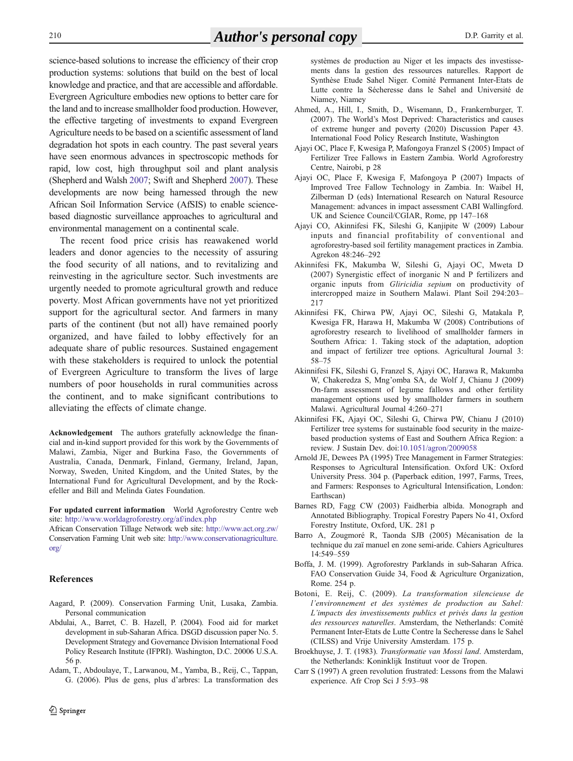<span id="page-14-0"></span>science-based solutions to increase the efficiency of their crop production systems: solutions that build on the best of local knowledge and practice, and that are accessible and affordable. Evergreen Agriculture embodies new options to better care for the land and to increase smallholder food production. However, the effective targeting of investments to expand Evergreen Agriculture needs to be based on a scientific assessment of land degradation hot spots in each country. The past several years have seen enormous advances in spectroscopic methods for rapid, low cost, high throughput soil and plant analysis (Shepherd and Walsh [2007;](#page-16-0) Swift and Shepherd [2007\)](#page-16-0). These developments are now being harnessed through the new African Soil Information Service (AfSIS) to enable sciencebased diagnostic surveillance approaches to agricultural and environmental management on a continental scale.

The recent food price crisis has reawakened world leaders and donor agencies to the necessity of assuring the food security of all nations, and to revitalizing and reinvesting in the agriculture sector. Such investments are urgently needed to promote agricultural growth and reduce poverty. Most African governments have not yet prioritized support for the agricultural sector. And farmers in many parts of the continent (but not all) have remained poorly organized, and have failed to lobby effectively for an adequate share of public resources. Sustained engagement with these stakeholders is required to unlock the potential of Evergreen Agriculture to transform the lives of large numbers of poor households in rural communities across the continent, and to make significant contributions to alleviating the effects of climate change.

Acknowledgement The authors gratefully acknowledge the financial and in-kind support provided for this work by the Governments of Malawi, Zambia, Niger and Burkina Faso, the Governments of Australia, Canada, Denmark, Finland, Germany, Ireland, Japan, Norway, Sweden, United Kingdom, and the United States, by the International Fund for Agricultural Development, and by the Rockefeller and Bill and Melinda Gates Foundation.

For updated current information World Agroforestry Centre web site: <http://www.worldagroforestry.org/af/index.php>

African Conservation Tillage Network web site: <http://www.act.org.zw/> Conservation Farming Unit web site: [http://www.conservationagriculture.](http://www.conservationagriculture.org/) [org/](http://www.conservationagriculture.org/)

#### References

- Aagard, P. (2009). Conservation Farming Unit, Lusaka, Zambia. Personal communication
- Abdulai, A., Barret, C. B. Hazell, P. (2004). Food aid for market development in sub-Saharan Africa. DSGD discussion paper No. 5. Development Strategy and Governance Division International Food Policy Research Institute (IFPRI). Washington, D.C. 20006 U.S.A. 56 p.
- Adam, T., Abdoulaye, T., Larwanou, M., Yamba, B., Reij, C., Tappan, G. (2006). Plus de gens, plus d'arbres: La transformation des

systèmes de production au Niger et les impacts des investissements dans la gestion des ressources naturelles. Rapport de Synthèse Etude Sahel Niger. Comité Permanent Inter-Etats de Lutte contre la Sécheresse dans le Sahel and Université de Niamey, Niamey

- Ahmed, A., Hill, I., Smith, D., Wisemann, D., Frankernburger, T. (2007). The World's Most Deprived: Characteristics and causes of extreme hunger and poverty (2020) Discussion Paper 43. International Food Policy Research Institute, Washington
- Ajayi OC, Place F, Kwesiga P, Mafongoya Franzel S (2005) Impact of Fertilizer Tree Fallows in Eastern Zambia. World Agroforestry Centre, Nairobi, p 28
- Ajayi OC, Place F, Kwesiga F, Mafongoya P (2007) Impacts of Improved Tree Fallow Technology in Zambia. In: Waibel H, Zilberman D (eds) International Research on Natural Resource Management: advances in impact assessment CABI Wallingford. UK and Science Council/CGIAR, Rome, pp 147–168
- Ajayi CO, Akinnifesi FK, Sileshi G, Kanjipite W (2009) Labour inputs and financial profitability of conventional and agroforestry-based soil fertility management practices in Zambia. Agrekon 48:246–292
- Akinnifesi FK, Makumba W, Sileshi G, Ajayi OC, Mweta D (2007) Synergistic effect of inorganic N and P fertilizers and organic inputs from Gliricidia sepium on productivity of intercropped maize in Southern Malawi. Plant Soil 294:203– 217
- Akinnifesi FK, Chirwa PW, Ajayi OC, Sileshi G, Matakala P, Kwesiga FR, Harawa H, Makumba W (2008) Contributions of agroforestry research to livelihood of smallholder farmers in Southern Africa: 1. Taking stock of the adaptation, adoption and impact of fertilizer tree options. Agricultural Journal 3: 58–75
- Akinnifesi FK, Sileshi G, Franzel S, Ajayi OC, Harawa R, Makumba W, Chakeredza S, Mng'omba SA, de Wolf J, Chianu J (2009) On-farm assessment of legume fallows and other fertility management options used by smallholder farmers in southern Malawi. Agricultural Journal 4:260–271
- Akinnifesi FK, Ajayi OC, Sileshi G, Chirwa PW, Chianu J (2010) Fertilizer tree systems for sustainable food security in the maizebased production systems of East and Southern Africa Region: a review. J Sustain Dev. doi[:10.1051/agron/2009058](http://dx.doi.org/10.1051/agron/2009058)
- Arnold JE, Dewees PA (1995) Tree Management in Farmer Strategies: Responses to Agricultural Intensification. Oxford UK: Oxford University Press. 304 p. (Paperback edition, 1997, Farms, Trees, and Farmers: Responses to Agricultural Intensification, London: Earthscan)
- Barnes RD, Fagg CW (2003) Faidherbia albida. Monograph and Annotated Bibliography. Tropical Forestry Papers No 41, Oxford Forestry Institute, Oxford, UK. 281 p
- Barro A, Zougmoré R, Taonda SJB (2005) Mécanisation de la technique du zaï manuel en zone semi-aride. Cahiers Agricultures 14:549–559
- Boffa, J. M. (1999). Agroforestry Parklands in sub-Saharan Africa. FAO Conservation Guide 34, Food & Agriculture Organization, Rome. 254 p.
- Botoni, E. Reij, C. (2009). La transformation silencieuse de l'environnement et des systèmes de production au Sahel: L'impacts des investissements publics et privés dans la gestion des ressources naturelles. Amsterdam, the Netherlands: Comité Permanent Inter-Etats de Lutte Contre la Secheresse dans le Sahel (CILSS) and Vrije University Amsterdam. 175 p.
- Broekhuyse, J. T. (1983). Transformatie van Mossi land. Amsterdam, the Netherlands: Koninklijk Instituut voor de Tropen.
- Carr S (1997) A green revolution frustrated: Lessons from the Malawi experience. Afr Crop Sci J 5:93–98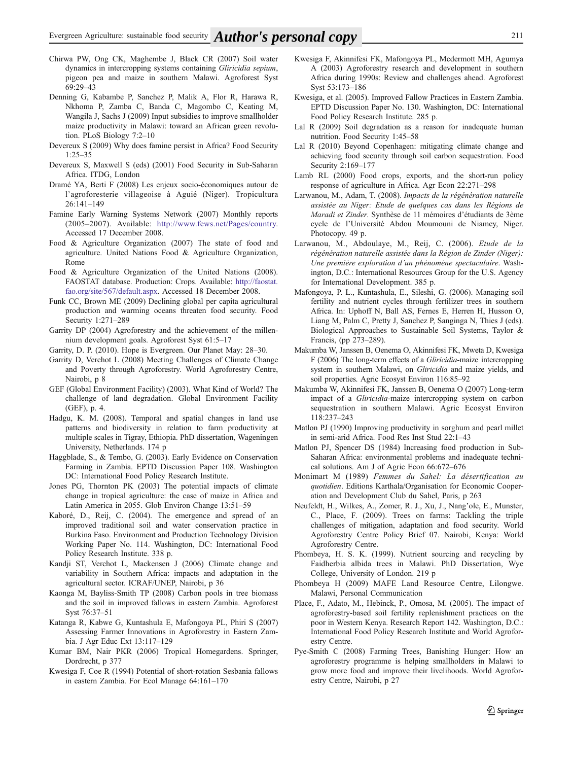- <span id="page-15-0"></span>Chirwa PW, Ong CK, Maghembe J, Black CR (2007) Soil water dynamics in intercropping systems containing Gliricidia sepium, pigeon pea and maize in southern Malawi. Agroforest Syst 69:29–43
- Denning G, Kabambe P, Sanchez P, Malik A, Flor R, Harawa R, Nkhoma P, Zamba C, Banda C, Magombo C, Keating M, Wangila J, Sachs J (2009) Input subsidies to improve smallholder maize productivity in Malawi: toward an African green revolution. PLoS Biology 7:2–10
- Devereux S (2009) Why does famine persist in Africa? Food Security 1:25–35
- Devereux S, Maxwell S (eds) (2001) Food Security in Sub-Saharan Africa. ITDG, London
- Dramé YA, Berti F (2008) Les enjeux socio-économiques autour de l'agroforesterie villageoise à Aguié (Niger). Tropicultura 26:141–149
- Famine Early Warning Systems Network (2007) Monthly reports (2005–2007). Available: [http://www.fews.net/Pages/country.](http://www.fews.net/Pages/country) Accessed 17 December 2008.
- Food & Agriculture Organization (2007) The state of food and agriculture. United Nations Food & Agriculture Organization, Rome
- Food & Agriculture Organization of the United Nations (2008). FAOSTAT database. Production: Crops. Available: [http://faostat.](http://faostat.fao.org/site/567/default.aspx) [fao.org/site/567/default.aspx.](http://faostat.fao.org/site/567/default.aspx) Accessed 18 December 2008.
- Funk CC, Brown ME (2009) Declining global per capita agricultural production and warming oceans threaten food security. Food Security 1:271–289
- Garrity DP (2004) Agroforestry and the achievement of the millennium development goals. Agroforest Syst 61:5–17
- Garrity, D. P. (2010). Hope is Evergreen. Our Planet May: 28–30.
- Garrity D, Verchot L (2008) Meeting Challenges of Climate Change and Poverty through Agroforestry. World Agroforestry Centre, Nairobi, p 8
- GEF (Global Environment Facility) (2003). What Kind of World? The challenge of land degradation. Global Environment Facility (GEF), p. 4.
- Hadgu, K. M. (2008). Temporal and spatial changes in land use patterns and biodiversity in relation to farm productivity at multiple scales in Tigray, Ethiopia. PhD dissertation, Wageningen University, Netherlands. 174 p
- Haggblade, S., & Tembo, G. (2003). Early Evidence on Conservation Farming in Zambia. EPTD Discussion Paper 108. Washington DC: International Food Policy Research Institute.
- Jones PG, Thornton PK (2003) The potential impacts of climate change in tropical agriculture: the case of maize in Africa and Latin America in 2055. Glob Environ Change 13:51–59
- Kaboré, D., Reij, C. (2004). The emergence and spread of an improved traditional soil and water conservation practice in Burkina Faso. Environment and Production Technology Division Working Paper No. 114. Washington, DC: International Food Policy Research Institute. 338 p.
- Kandji ST, Verchot L, Mackensen J (2006) Climate change and variability in Southern Africa: impacts and adaptation in the agricultural sector. ICRAF/UNEP, Nairobi, p 36
- Kaonga M, Bayliss-Smith TP (2008) Carbon pools in tree biomass and the soil in improved fallows in eastern Zambia. Agroforest Syst 76:37–51
- Katanga R, Kabwe G, Kuntashula E, Mafongoya PL, Phiri S (2007) Assessing Farmer Innovations in Agroforestry in Eastern Zambia. J Agr Educ Ext 13:117–129
- Kumar BM, Nair PKR (2006) Tropical Homegardens. Springer, Dordrecht, p 377
- Kwesiga F, Coe R (1994) Potential of short-rotation Sesbania fallows in eastern Zambia. For Ecol Manage 64:161–170
- Kwesiga F, Akinnifesi FK, Mafongoya PL, Mcdermott MH, Agumya A (2003) Agroforestry research and development in southern Africa during 1990s: Review and challenges ahead. Agroforest Syst 53:173–186
- Kwesiga, et al. (2005). Improved Fallow Practices in Eastern Zambia. EPTD Discussion Paper No. 130. Washington, DC: International Food Policy Research Institute. 285 p.
- Lal R (2009) Soil degradation as a reason for inadequate human nutrition. Food Security 1:45–58
- Lal R (2010) Beyond Copenhagen: mitigating climate change and achieving food security through soil carbon sequestration. Food Security 2:169–177
- Lamb RL (2000) Food crops, exports, and the short-run policy response of agriculture in Africa. Agr Econ 22:271–298
- Larwanou, M., Adam, T. (2008). Impacts de la régénération naturelle assistée au Niger: Etude de quelques cas dans les Régions de Maradi et Zinder. Synthèse de 11 mémoires d'étudiants de 3ème cycle de l'Université Abdou Moumouni de Niamey, Niger. Photocopy. 49 p.
- Larwanou, M., Abdoulaye, M., Reij, C. (2006). Etude de la régénération naturelle assistée dans la Région de Zinder (Niger): Une première exploration d'un phénomène spectaculaire. Washington, D.C.: International Resources Group for the U.S. Agency for International Development. 385 p.
- Mafongoya, P. L., Kuntashula, E., Sileshi, G. (2006). Managing soil fertility and nutrient cycles through fertilizer trees in southern Africa. In: Uphoff N, Ball AS, Fernes E, Herren H, Husson O, Liang M, Palm C, Pretty J, Sanchez P, Sanginga N, Thies J (eds). Biological Approaches to Sustainable Soil Systems, Taylor & Francis, (pp 273–289).
- Makumba W, Janssen B, Oenema O, Akinnifesi FK, Mweta D, Kwesiga F (2006) The long-term effects of a Gliricidia-maize intercropping system in southern Malawi, on Gliricidia and maize yields, and soil properties. Agric Ecosyst Environ 116:85–92
- Makumba W, Akinnifesi FK, Janssen B, Oenema O (2007) Long-term impact of a Gliricidia-maize intercropping system on carbon sequestration in southern Malawi. Agric Ecosyst Environ 118:237–243
- Matlon PJ (1990) Improving productivity in sorghum and pearl millet in semi-arid Africa. Food Res Inst Stud 22:1–43
- Matlon PJ, Spencer DS (1984) Increasing food production in Sub-Saharan Africa: environmental problems and inadequate technical solutions. Am J of Agric Econ 66:672–676
- Monimart M (1989) Femmes du Sahel: La désertification au quotidien. Editions Karthala/Organisation for Economic Cooperation and Development Club du Sahel, Paris, p 263
- Neufeldt, H., Wilkes, A., Zomer, R. J., Xu, J., Nang'ole, E., Munster, C., Place, F. (2009). Trees on farms: Tackling the triple challenges of mitigation, adaptation and food security. World Agroforestry Centre Policy Brief 07. Nairobi, Kenya: World Agroforestry Centre.
- Phombeya, H. S. K. (1999). Nutrient sourcing and recycling by Faidherbia albida trees in Malawi. PhD Dissertation, Wye College, University of London. 219 p
- Phombeya H (2009) MAFE Land Resource Centre, Lilongwe. Malawi, Personal Communication
- Place, F., Adato, M., Hebinck, P., Omosa, M. (2005). The impact of agroforestry-based soil fertility replenishment practices on the poor in Western Kenya. Research Report 142. Washington, D.C.: International Food Policy Research Institute and World Agroforestry Centre.
- Pye-Smith C (2008) Farming Trees, Banishing Hunger: How an agroforestry programme is helping smallholders in Malawi to grow more food and improve their livelihoods. World Agroforestry Centre, Nairobi, p 27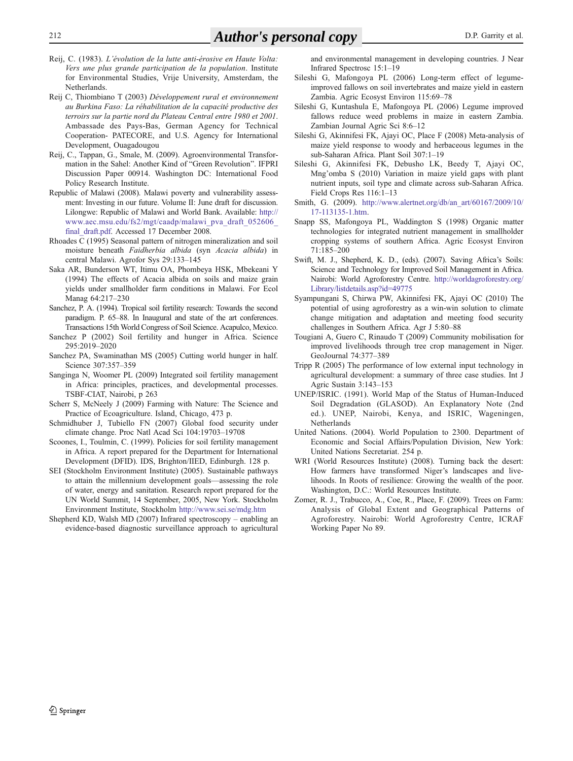- <span id="page-16-0"></span>Reij, C. (1983). L'évolution de la lutte anti-érosive en Haute Volta: Vers une plus grande participation de la population. Institute for Environmental Studies, Vrije University, Amsterdam, the Netherlands.
- Reij C, Thiombiano T (2003) Développement rural et environnement au Burkina Faso: La réhabilitation de la capacité productive des terroirs sur la partie nord du Plateau Central entre 1980 et 2001. Ambassade des Pays-Bas, German Agency for Technical Cooperation- PATECORE, and U.S. Agency for International Development, Ouagadougou
- Reij, C., Tappan, G., Smale, M. (2009). Agroenvironmental Transformation in the Sahel: Another Kind of "Green Revolution". IFPRI Discussion Paper 00914. Washington DC: International Food Policy Research Institute.
- Republic of Malawi (2008). Malawi poverty and vulnerability assessment: Investing in our future. Volume II: June draft for discussion. Lilongwe: Republic of Malawi and World Bank. Available: [http://](http://www.aec.msu.edu/fs2/mgt/caadp/malawi_pva_draft_052606_final_draft.pdf) [www.aec.msu.edu/fs2/mgt/caadp/malawi\\_pva\\_draft\\_052606\\_](http://www.aec.msu.edu/fs2/mgt/caadp/malawi_pva_draft_052606_final_draft.pdf) [final\\_draft.pdf](http://www.aec.msu.edu/fs2/mgt/caadp/malawi_pva_draft_052606_final_draft.pdf). Accessed 17 December 2008.
- Rhoades C (1995) Seasonal pattern of nitrogen mineralization and soil moisture beneath Faidherbia albida (syn Acacia albida) in central Malawi. Agrofor Sys 29:133–145
- Saka AR, Bunderson WT, Itimu OA, Phombeya HSK, Mbekeani Y (1994) The effects of Acacia albida on soils and maize grain yields under smallholder farm conditions in Malawi. For Ecol Manag 64:217–230
- Sanchez, P. A. (1994). Tropical soil fertility research: Towards the second paradigm. P. 65–88. In Inaugural and state of the art conferences. Transactions 15th World Congress of Soil Science. Acapulco, Mexico.
- Sanchez P (2002) Soil fertility and hunger in Africa. Science 295:2019–2020
- Sanchez PA, Swaminathan MS (2005) Cutting world hunger in half. Science 307:357–359
- Sanginga N, Woomer PL (2009) Integrated soil fertility management in Africa: principles, practices, and developmental processes. TSBF-CIAT, Nairobi, p 263
- Scherr S, McNeely J (2009) Farming with Nature: The Science and Practice of Ecoagriculture. Island, Chicago, 473 p.
- Schmidhuber J, Tubiello FN (2007) Global food security under climate change. Proc Natl Acad Sci 104:19703–19708
- Scoones, I., Toulmin, C. (1999). Policies for soil fertility management in Africa. A report prepared for the Department for International Development (DFID). IDS, Brighton/IIED, Edinburgh. 128 p.
- SEI (Stockholm Environment Institute) (2005). Sustainable pathways to attain the millennium development goals—assessing the role of water, energy and sanitation. Research report prepared for the UN World Summit, 14 September, 2005, New York. Stockholm Environment Institute, Stockholm <http://www.sei.se/mdg.htm>
- Shepherd KD, Walsh MD (2007) Infrared spectroscopy enabling an evidence-based diagnostic surveillance approach to agricultural

and environmental management in developing countries. J Near Infrared Spectrosc 15:1–19

- Sileshi G, Mafongoya PL (2006) Long-term effect of legumeimproved fallows on soil invertebrates and maize yield in eastern Zambia. Agric Ecosyst Environ 115:69–78
- Sileshi G, Kuntashula E, Mafongoya PL (2006) Legume improved fallows reduce weed problems in maize in eastern Zambia. Zambian Journal Agric Sci 8:6–12
- Sileshi G, Akinnifesi FK, Ajayi OC, Place F (2008) Meta-analysis of maize yield response to woody and herbaceous legumes in the sub-Saharan Africa. Plant Soil 307:1–19
- Sileshi G, Akinnifesi FK, Debusho LK, Beedy T, Ajayi OC, Mng'omba S (2010) Variation in maize yield gaps with plant nutrient inputs, soil type and climate across sub-Saharan Africa. Field Crops Res 116:1–13
- Smith, G. (2009). [http://www.alertnet.org/db/an\\_art/60167/2009/10/](http://www.alertnet.org/db/an_art/60167/2009/10/17-113135-1.htm) [17-113135-1.htm.](http://www.alertnet.org/db/an_art/60167/2009/10/17-113135-1.htm)
- Snapp SS, Mafongoya PL, Waddington S (1998) Organic matter technologies for integrated nutrient management in smallholder cropping systems of southern Africa. Agric Ecosyst Environ 71:185–200
- Swift, M. J., Shepherd, K. D., (eds). (2007). Saving Africa's Soils: Science and Technology for Improved Soil Management in Africa. Nairobi: World Agroforestry Centre. [http://worldagroforestry.org/](http://worldagroforestry.org/Library/listdetails.asp?id=49775) [Library/listdetails.asp?id=49775](http://worldagroforestry.org/Library/listdetails.asp?id=49775)
- Syampungani S, Chirwa PW, Akinnifesi FK, Ajayi OC (2010) The potential of using agroforestry as a win-win solution to climate change mitigation and adaptation and meeting food security challenges in Southern Africa. Agr J 5:80–88
- Tougiani A, Guero C, Rinaudo T (2009) Community mobilisation for improved livelihoods through tree crop management in Niger. GeoJournal 74:377–389
- Tripp R (2005) The performance of low external input technology in agricultural development: a summary of three case studies. Int J Agric Sustain 3:143–153
- UNEP/ISRIC. (1991). World Map of the Status of Human-Induced Soil Degradation (GLASOD). An Explanatory Note (2nd ed.). UNEP, Nairobi, Kenya, and ISRIC, Wageningen, **Netherlands**
- United Nations. (2004). World Population to 2300. Department of Economic and Social Affairs/Population Division, New York: United Nations Secretariat. 254 p.
- WRI (World Resources Institute) (2008). Turning back the desert: How farmers have transformed Niger's landscapes and livelihoods. In Roots of resilience: Growing the wealth of the poor. Washington, D.C.: World Resources Institute.
- Zomer, R. J., Trabucco, A., Coe, R., Place, F. (2009). Trees on Farm: Analysis of Global Extent and Geographical Patterns of Agroforestry. Nairobi: World Agroforestry Centre, ICRAF Working Paper No 89.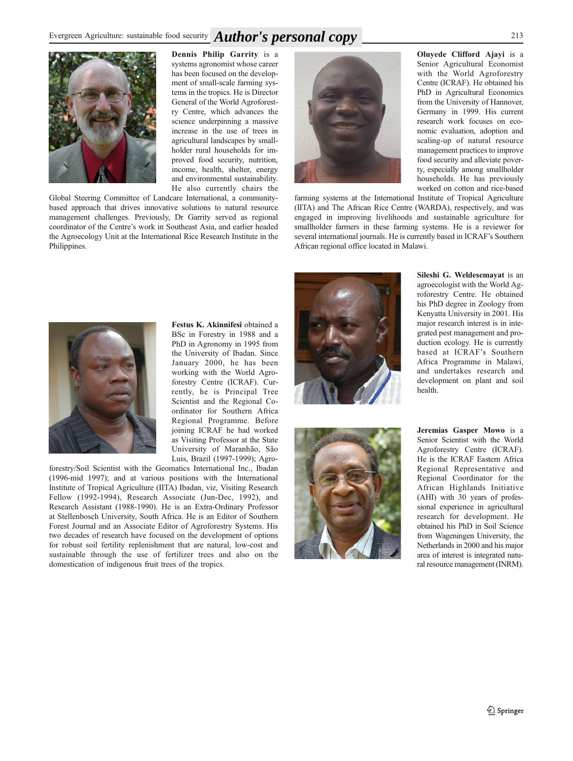### Evergreen Agriculture: sustainable food security **Author's personal copy** 213



Dennis Philip Garrity is a systems agronomist whose career has been focused on the development of small-scale farming systems in the tropics. He is Director General of the World Agroforestry Centre, which advances the science underpinning a massive increase in the use of trees in agricultural landscapes by smallholder rural households for improved food security, nutrition, income, health, shelter, energy and environmental sustainability. He also currently chairs the

Global Steering Committee of Landcare International, a communitybased approach that drives innovative solutions to natural resource management challenges. Previously, Dr Garrity served as regional coordinator of the Centre's work in Southeast Asia, and earlier headed the Agroecology Unit at the International Rice Research Institute in the Philippines.



farming systems at the International Institute of Tropical Agriculture (IITA) and The African Rice Centre (WARDA), respectively, and was engaged in improving livelihoods and sustainable agriculture for smallholder farmers in these farming systems. He is a reviewer for several international journals. He is currently based in ICRAF's Southern African regional office located in Malawi.



Festus K. Akinnifesi obtained a BSc in Forestry in 1988 and a PhD in Agronomy in 1995 from the University of Ibadan. Since January 2000, he has been working with the World Agroforestry Centre (ICRAF). Currently, he is Principal Tree Scientist and the Regional Coordinator for Southern Africa Regional Programme. Before joining ICRAF he had worked as Visiting Professor at the State University of Maranhão, São Luis, Brazil (1997-1999); Agro-

forestry/Soil Scientist with the Geomatics International Inc., Ibadan (1996-mid 1997); and at various positions with the International Institute of Tropical Agriculture (IITA) Ibadan, viz, Visiting Research Fellow (1992-1994), Research Associate (Jun-Dec, 1992), and Research Assistant (1988-1990). He is an Extra-Ordinary Professor at Stellenbosch University, South Africa. He is an Editor of Southern Forest Journal and an Associate Editor of Agroforestry Systems. His two decades of research have focused on the development of options for robust soil fertility replenishment that are natural, low-cost and sustainable through the use of fertilizer trees and also on the domestication of indigenous fruit trees of the tropics.





Sileshi G. Weldesemayat is an agroecologist with the World Agroforestry Centre. He obtained his PhD degree in Zoology from Kenyatta University in 2001. His major research interest is in integrated pest management and production ecology. He is currently based at ICRAF's Southern Africa Programme in Malawi, and undertakes research and development on plant and soil health.

Jeremias Gasper Mowo is a Senior Scientist with the World Agroforestry Centre (ICRAF). He is the ICRAF Eastern Africa Regional Representative and Regional Coordinator for the African Highlands Initiative (AHI) with 30 years of professional experience in agricultural research for development. He obtained his PhD in Soil Science from Wageningen University, the Netherlands in 2000 and his major area of interest is integrated natural resource management (INRM).

Oluyede Clifford Ajayi is a Senior Agricultural Economist with the World Agroforestry Centre (ICRAF). He obtained his PhD in Agricultural Economics from the University of Hannover, Germany in 1999. His current research work focuses on economic evaluation, adoption and scaling-up of natural resource management practices to improve food security and alleviate poverty, especially among smallholder households. He has previously worked on cotton and rice-based